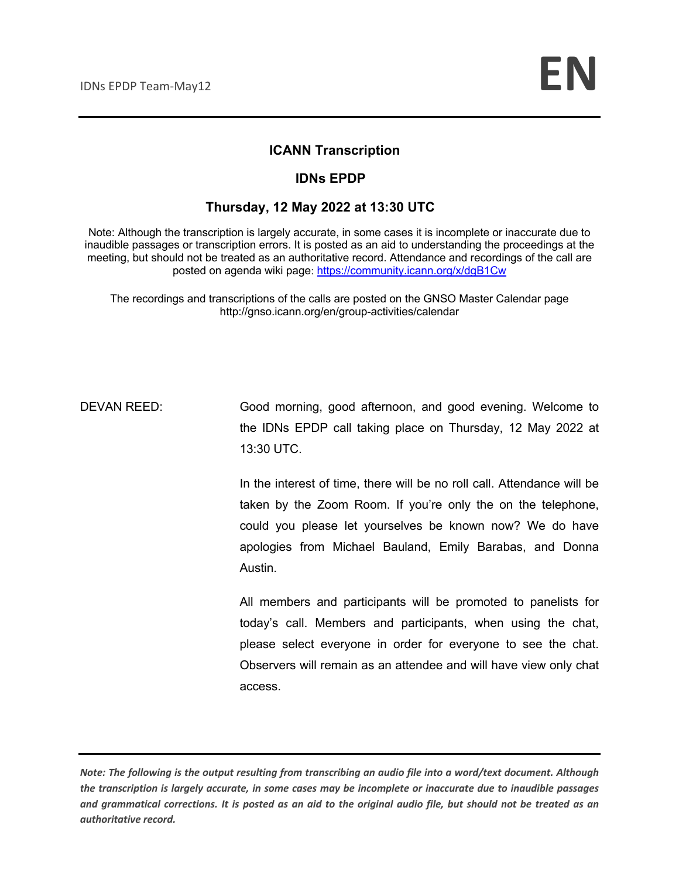#### **ICANN Transcription**

#### **IDNs EPDP**

#### **Thursday, 12 May 2022 at 13:30 UTC**

Note: Although the transcription is largely accurate, in some cases it is incomplete or inaccurate due to inaudible passages or transcription errors. It is posted as an aid to understanding the proceedings at the meeting, but should not be treated as an authoritative record. Attendance and recordings of the call are posted on agenda wiki page: https://community.icann.org/x/dgB1Cw

The recordings and transcriptions of the calls are posted on the GNSO Master Calendar page http://gnso.icann.org/en/group-activities/calendar

DEVAN REED: Good morning, good afternoon, and good evening. Welcome to the IDNs EPDP call taking place on Thursday, 12 May 2022 at 13:30 UTC.

> In the interest of time, there will be no roll call. Attendance will be taken by the Zoom Room. If you're only the on the telephone, could you please let yourselves be known now? We do have apologies from Michael Bauland, Emily Barabas, and Donna Austin.

> All members and participants will be promoted to panelists for today's call. Members and participants, when using the chat, please select everyone in order for everyone to see the chat. Observers will remain as an attendee and will have view only chat access.

*Note: The following is the output resulting from transcribing an audio file into a word/text document. Although the transcription is largely accurate, in some cases may be incomplete or inaccurate due to inaudible passages and grammatical corrections. It is posted as an aid to the original audio file, but should not be treated as an authoritative record.*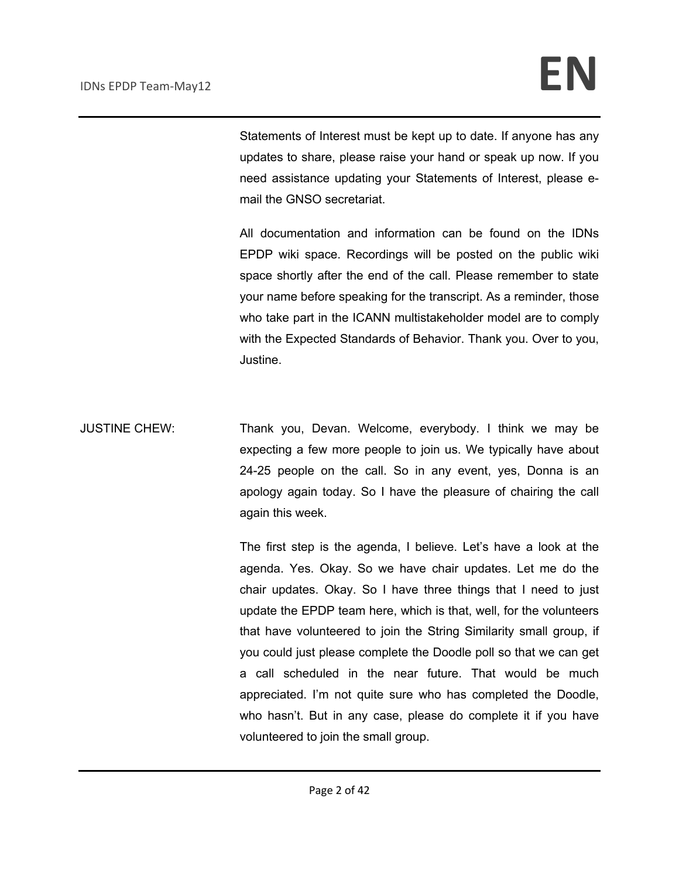Statements of Interest must be kept up to date. If anyone has any updates to share, please raise your hand or speak up now. If you need assistance updating your Statements of Interest, please email the GNSO secretariat.

All documentation and information can be found on the IDNs EPDP wiki space. Recordings will be posted on the public wiki space shortly after the end of the call. Please remember to state your name before speaking for the transcript. As a reminder, those who take part in the ICANN multistakeholder model are to comply with the Expected Standards of Behavior. Thank you. Over to you, Justine.

JUSTINE CHEW: Thank you, Devan. Welcome, everybody. I think we may be expecting a few more people to join us. We typically have about 24-25 people on the call. So in any event, yes, Donna is an apology again today. So I have the pleasure of chairing the call again this week.

> The first step is the agenda, I believe. Let's have a look at the agenda. Yes. Okay. So we have chair updates. Let me do the chair updates. Okay. So I have three things that I need to just update the EPDP team here, which is that, well, for the volunteers that have volunteered to join the String Similarity small group, if you could just please complete the Doodle poll so that we can get a call scheduled in the near future. That would be much appreciated. I'm not quite sure who has completed the Doodle, who hasn't. But in any case, please do complete it if you have volunteered to join the small group.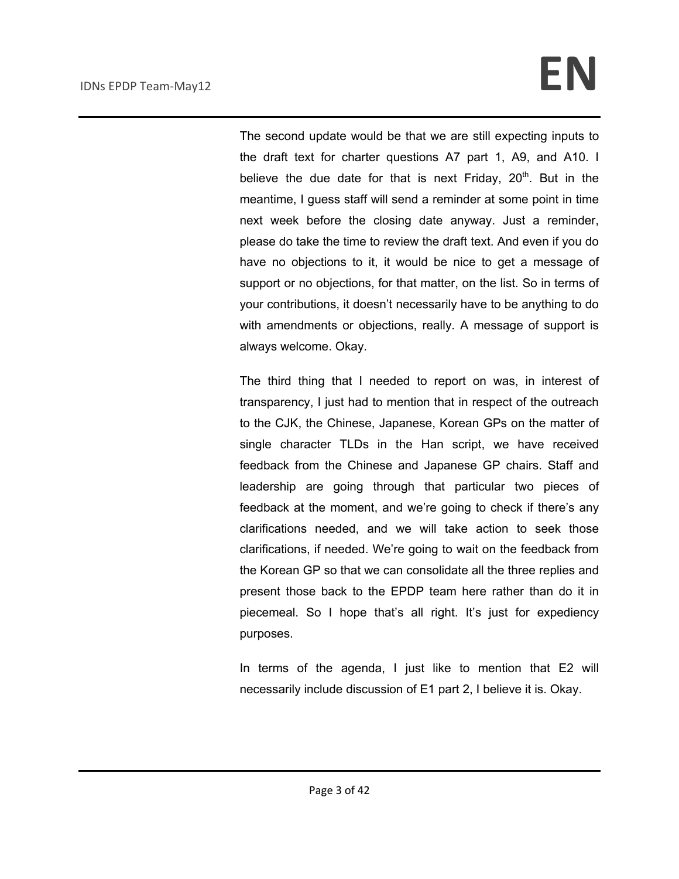The second update would be that we are still expecting inputs to the draft text for charter questions A7 part 1, A9, and A10. I believe the due date for that is next Friday,  $20<sup>th</sup>$ . But in the meantime, I guess staff will send a reminder at some point in time next week before the closing date anyway. Just a reminder, please do take the time to review the draft text. And even if you do have no objections to it, it would be nice to get a message of support or no objections, for that matter, on the list. So in terms of your contributions, it doesn't necessarily have to be anything to do with amendments or objections, really. A message of support is always welcome. Okay.

The third thing that I needed to report on was, in interest of transparency, I just had to mention that in respect of the outreach to the CJK, the Chinese, Japanese, Korean GPs on the matter of single character TLDs in the Han script, we have received feedback from the Chinese and Japanese GP chairs. Staff and leadership are going through that particular two pieces of feedback at the moment, and we're going to check if there's any clarifications needed, and we will take action to seek those clarifications, if needed. We're going to wait on the feedback from the Korean GP so that we can consolidate all the three replies and present those back to the EPDP team here rather than do it in piecemeal. So I hope that's all right. It's just for expediency purposes.

In terms of the agenda, I just like to mention that E2 will necessarily include discussion of E1 part 2, I believe it is. Okay.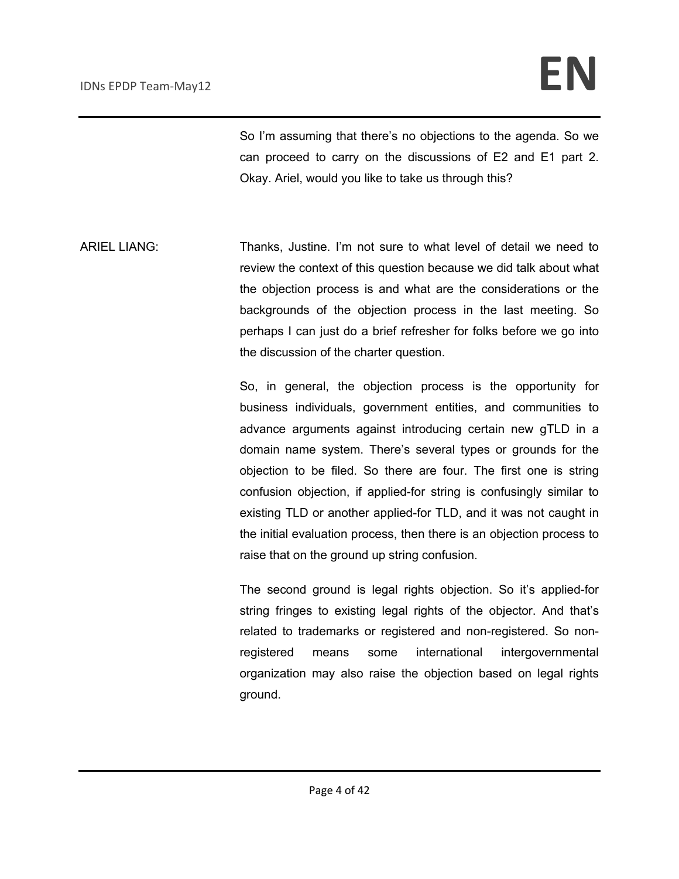So I'm assuming that there's no objections to the agenda. So we can proceed to carry on the discussions of E2 and E1 part 2. Okay. Ariel, would you like to take us through this?

ARIEL LIANG: Thanks, Justine. I'm not sure to what level of detail we need to review the context of this question because we did talk about what the objection process is and what are the considerations or the backgrounds of the objection process in the last meeting. So perhaps I can just do a brief refresher for folks before we go into the discussion of the charter question.

> So, in general, the objection process is the opportunity for business individuals, government entities, and communities to advance arguments against introducing certain new gTLD in a domain name system. There's several types or grounds for the objection to be filed. So there are four. The first one is string confusion objection, if applied-for string is confusingly similar to existing TLD or another applied-for TLD, and it was not caught in the initial evaluation process, then there is an objection process to raise that on the ground up string confusion.

> The second ground is legal rights objection. So it's applied-for string fringes to existing legal rights of the objector. And that's related to trademarks or registered and non-registered. So nonregistered means some international intergovernmental organization may also raise the objection based on legal rights ground.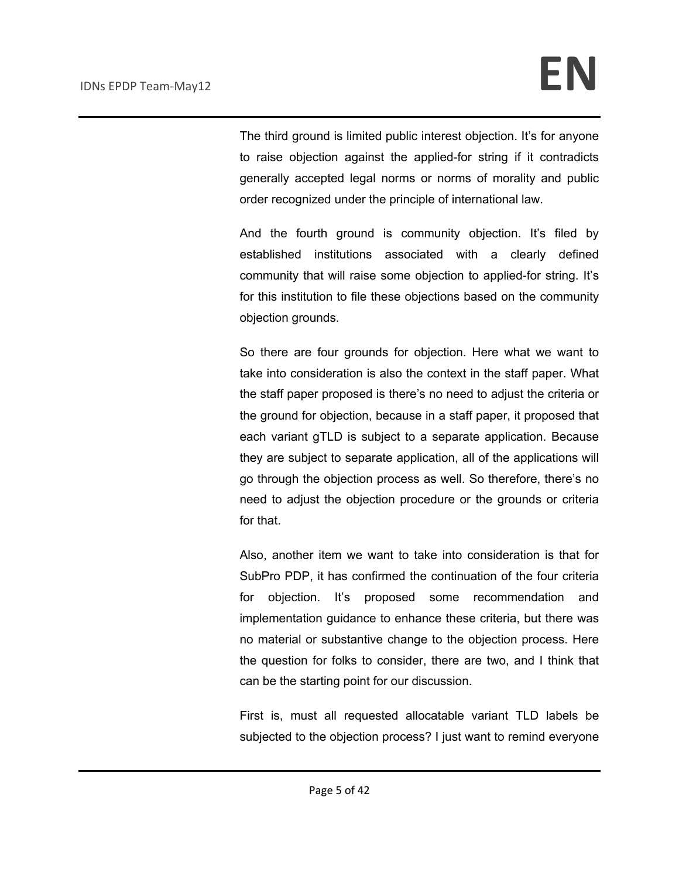The third ground is limited public interest objection. It's for anyone to raise objection against the applied-for string if it contradicts generally accepted legal norms or norms of morality and public order recognized under the principle of international law.

And the fourth ground is community objection. It's filed by established institutions associated with a clearly defined community that will raise some objection to applied-for string. It's for this institution to file these objections based on the community objection grounds.

So there are four grounds for objection. Here what we want to take into consideration is also the context in the staff paper. What the staff paper proposed is there's no need to adjust the criteria or the ground for objection, because in a staff paper, it proposed that each variant gTLD is subject to a separate application. Because they are subject to separate application, all of the applications will go through the objection process as well. So therefore, there's no need to adjust the objection procedure or the grounds or criteria for that.

Also, another item we want to take into consideration is that for SubPro PDP, it has confirmed the continuation of the four criteria for objection. It's proposed some recommendation and implementation guidance to enhance these criteria, but there was no material or substantive change to the objection process. Here the question for folks to consider, there are two, and I think that can be the starting point for our discussion.

First is, must all requested allocatable variant TLD labels be subjected to the objection process? I just want to remind everyone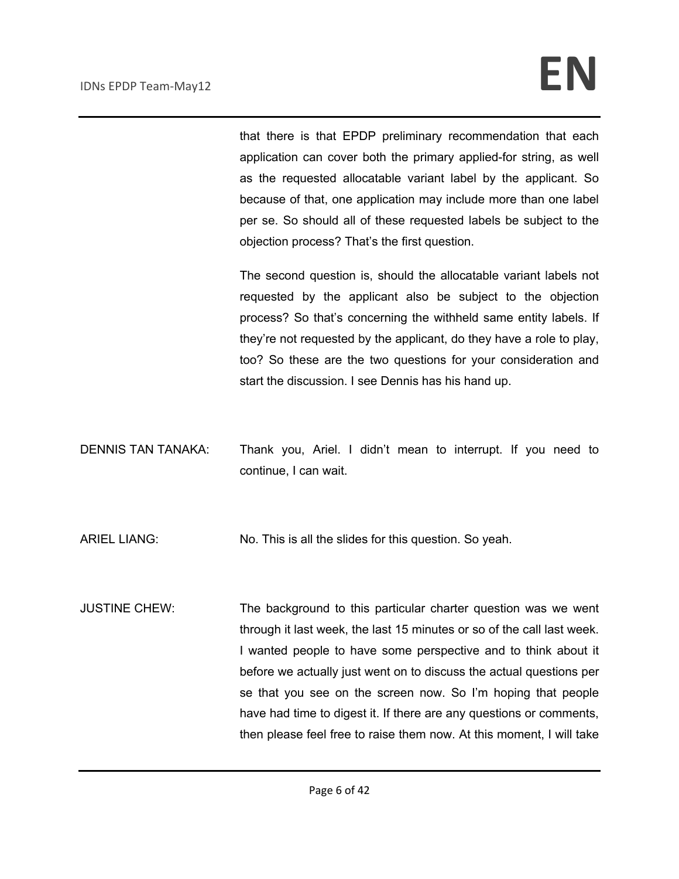that there is that EPDP preliminary recommendation that each application can cover both the primary applied-for string, as well as the requested allocatable variant label by the applicant. So because of that, one application may include more than one label per se. So should all of these requested labels be subject to the objection process? That's the first question.

The second question is, should the allocatable variant labels not requested by the applicant also be subject to the objection process? So that's concerning the withheld same entity labels. If they're not requested by the applicant, do they have a role to play, too? So these are the two questions for your consideration and start the discussion. I see Dennis has his hand up.

DENNIS TAN TANAKA: Thank you, Ariel. I didn't mean to interrupt. If you need to continue, I can wait.

ARIEL LIANG: No. This is all the slides for this question. So yeah.

JUSTINE CHEW: The background to this particular charter question was we went through it last week, the last 15 minutes or so of the call last week. I wanted people to have some perspective and to think about it before we actually just went on to discuss the actual questions per se that you see on the screen now. So I'm hoping that people have had time to digest it. If there are any questions or comments, then please feel free to raise them now. At this moment, I will take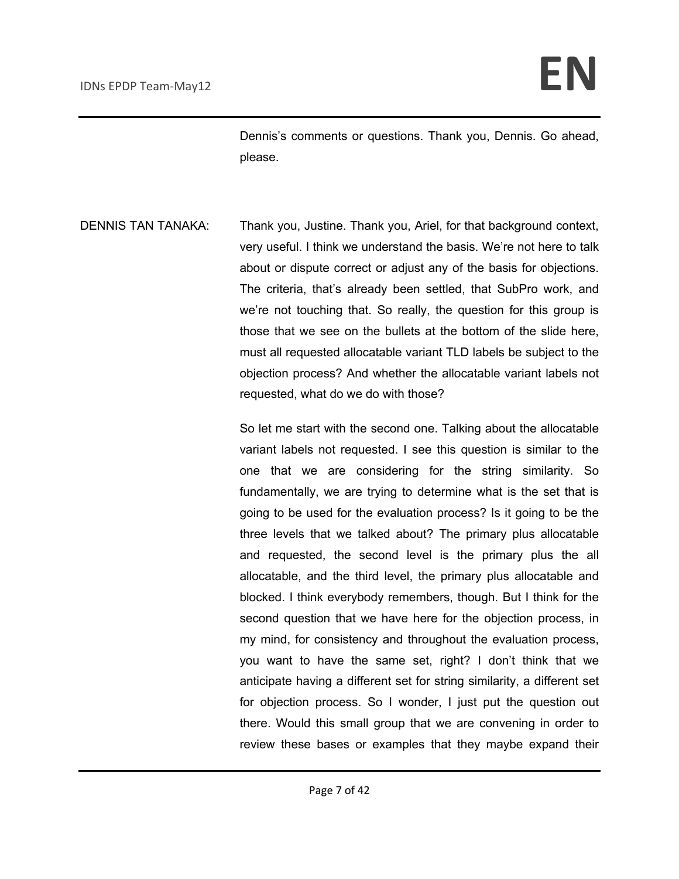Dennis's comments or questions. Thank you, Dennis. Go ahead, please.

DENNIS TAN TANAKA: Thank you, Justine. Thank you, Ariel, for that background context, very useful. I think we understand the basis. We're not here to talk about or dispute correct or adjust any of the basis for objections. The criteria, that's already been settled, that SubPro work, and we're not touching that. So really, the question for this group is those that we see on the bullets at the bottom of the slide here, must all requested allocatable variant TLD labels be subject to the objection process? And whether the allocatable variant labels not requested, what do we do with those?

> So let me start with the second one. Talking about the allocatable variant labels not requested. I see this question is similar to the one that we are considering for the string similarity. So fundamentally, we are trying to determine what is the set that is going to be used for the evaluation process? Is it going to be the three levels that we talked about? The primary plus allocatable and requested, the second level is the primary plus the all allocatable, and the third level, the primary plus allocatable and blocked. I think everybody remembers, though. But I think for the second question that we have here for the objection process, in my mind, for consistency and throughout the evaluation process, you want to have the same set, right? I don't think that we anticipate having a different set for string similarity, a different set for objection process. So I wonder, I just put the question out there. Would this small group that we are convening in order to review these bases or examples that they maybe expand their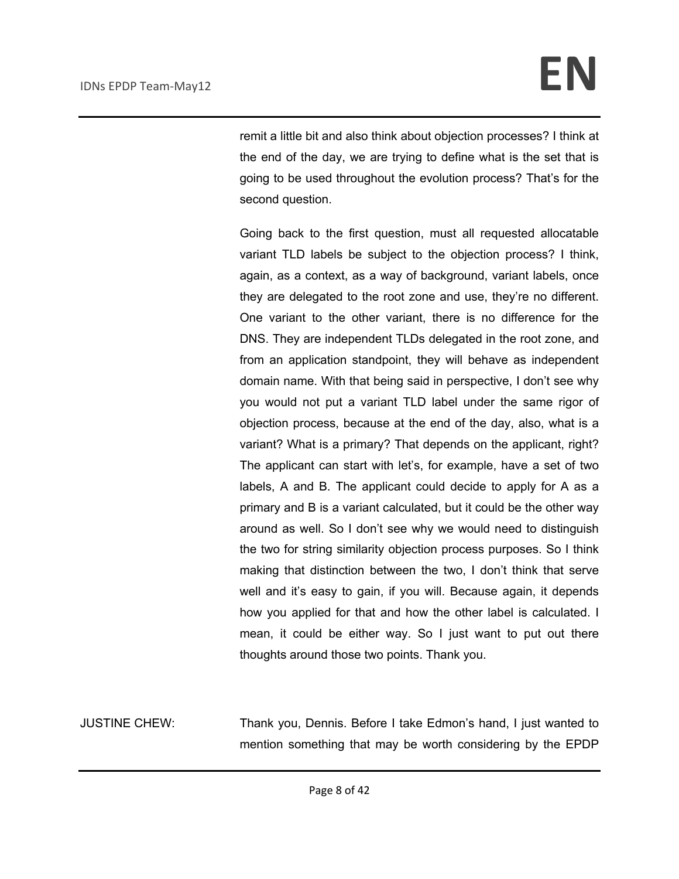remit a little bit and also think about objection processes? I think at the end of the day, we are trying to define what is the set that is going to be used throughout the evolution process? That's for the second question.

Going back to the first question, must all requested allocatable variant TLD labels be subject to the objection process? I think, again, as a context, as a way of background, variant labels, once they are delegated to the root zone and use, they're no different. One variant to the other variant, there is no difference for the DNS. They are independent TLDs delegated in the root zone, and from an application standpoint, they will behave as independent domain name. With that being said in perspective, I don't see why you would not put a variant TLD label under the same rigor of objection process, because at the end of the day, also, what is a variant? What is a primary? That depends on the applicant, right? The applicant can start with let's, for example, have a set of two labels, A and B. The applicant could decide to apply for A as a primary and B is a variant calculated, but it could be the other way around as well. So I don't see why we would need to distinguish the two for string similarity objection process purposes. So I think making that distinction between the two, I don't think that serve well and it's easy to gain, if you will. Because again, it depends how you applied for that and how the other label is calculated. I mean, it could be either way. So I just want to put out there thoughts around those two points. Thank you.

JUSTINE CHEW: Thank you, Dennis. Before I take Edmon's hand, I just wanted to mention something that may be worth considering by the EPDP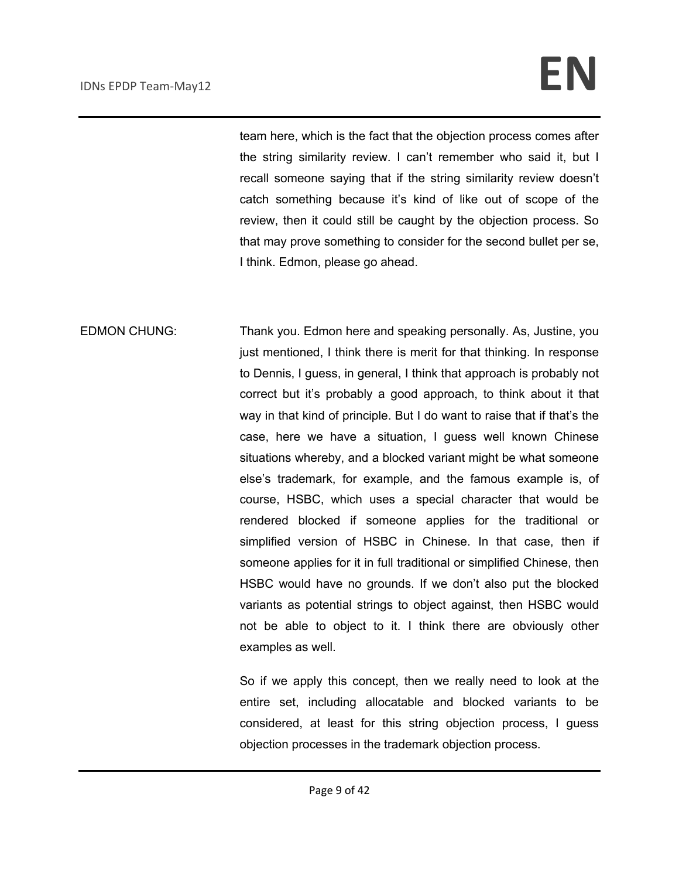team here, which is the fact that the objection process comes after the string similarity review. I can't remember who said it, but I recall someone saying that if the string similarity review doesn't catch something because it's kind of like out of scope of the review, then it could still be caught by the objection process. So that may prove something to consider for the second bullet per se, I think. Edmon, please go ahead.

EDMON CHUNG: Thank you. Edmon here and speaking personally. As, Justine, you just mentioned, I think there is merit for that thinking. In response to Dennis, I guess, in general, I think that approach is probably not correct but it's probably a good approach, to think about it that way in that kind of principle. But I do want to raise that if that's the case, here we have a situation, I guess well known Chinese situations whereby, and a blocked variant might be what someone else's trademark, for example, and the famous example is, of course, HSBC, which uses a special character that would be rendered blocked if someone applies for the traditional or simplified version of HSBC in Chinese. In that case, then if someone applies for it in full traditional or simplified Chinese, then HSBC would have no grounds. If we don't also put the blocked variants as potential strings to object against, then HSBC would not be able to object to it. I think there are obviously other examples as well.

> So if we apply this concept, then we really need to look at the entire set, including allocatable and blocked variants to be considered, at least for this string objection process, I guess objection processes in the trademark objection process.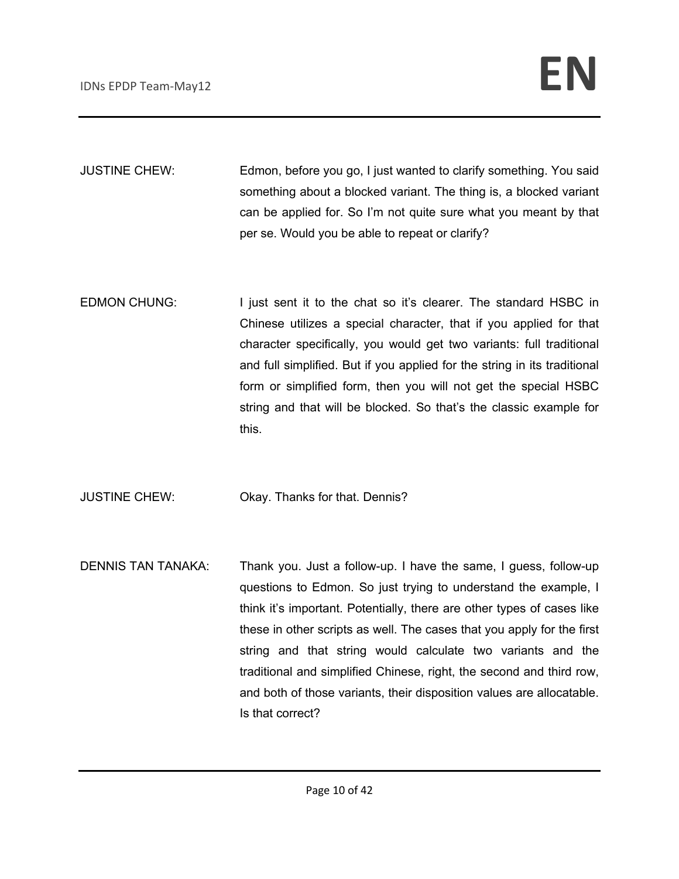JUSTINE CHEW: Edmon, before you go, I just wanted to clarify something. You said something about a blocked variant. The thing is, a blocked variant can be applied for. So I'm not quite sure what you meant by that per se. Would you be able to repeat or clarify?

EDMON CHUNG: I just sent it to the chat so it's clearer. The standard HSBC in Chinese utilizes a special character, that if you applied for that character specifically, you would get two variants: full traditional and full simplified. But if you applied for the string in its traditional form or simplified form, then you will not get the special HSBC string and that will be blocked. So that's the classic example for this.

JUSTINE CHEW: Okay. Thanks for that. Dennis?

DENNIS TAN TANAKA: Thank you. Just a follow-up. I have the same, I guess, follow-up questions to Edmon. So just trying to understand the example, I think it's important. Potentially, there are other types of cases like these in other scripts as well. The cases that you apply for the first string and that string would calculate two variants and the traditional and simplified Chinese, right, the second and third row, and both of those variants, their disposition values are allocatable. Is that correct?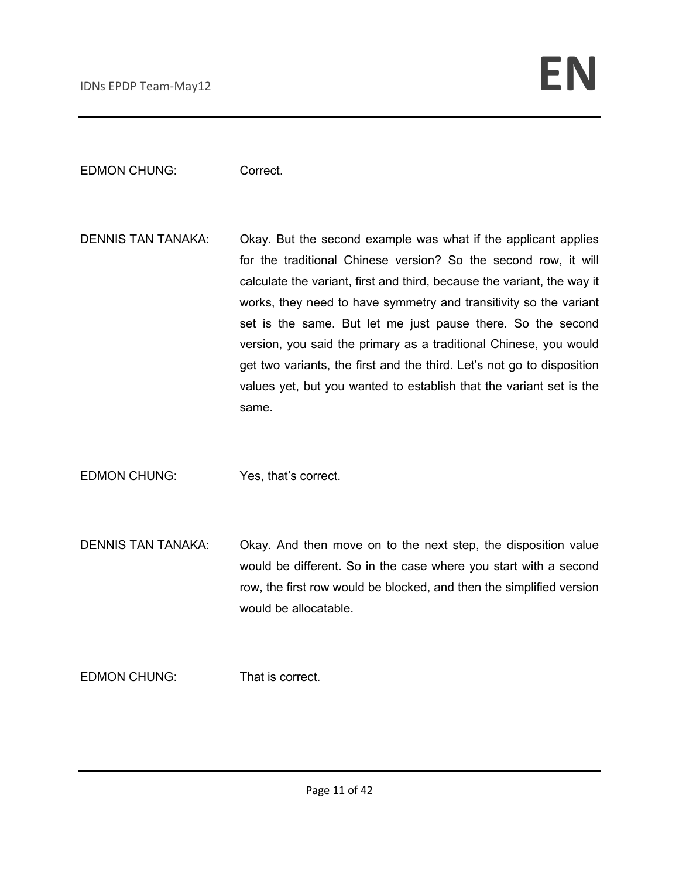EDMON CHUNG: Correct.

DENNIS TAN TANAKA: Okay. But the second example was what if the applicant applies for the traditional Chinese version? So the second row, it will calculate the variant, first and third, because the variant, the way it works, they need to have symmetry and transitivity so the variant set is the same. But let me just pause there. So the second version, you said the primary as a traditional Chinese, you would get two variants, the first and the third. Let's not go to disposition values yet, but you wanted to establish that the variant set is the same.

EDMON CHUNG: Yes, that's correct.

DENNIS TAN TANAKA: Okay. And then move on to the next step, the disposition value would be different. So in the case where you start with a second row, the first row would be blocked, and then the simplified version would be allocatable.

EDMON CHUNG: That is correct.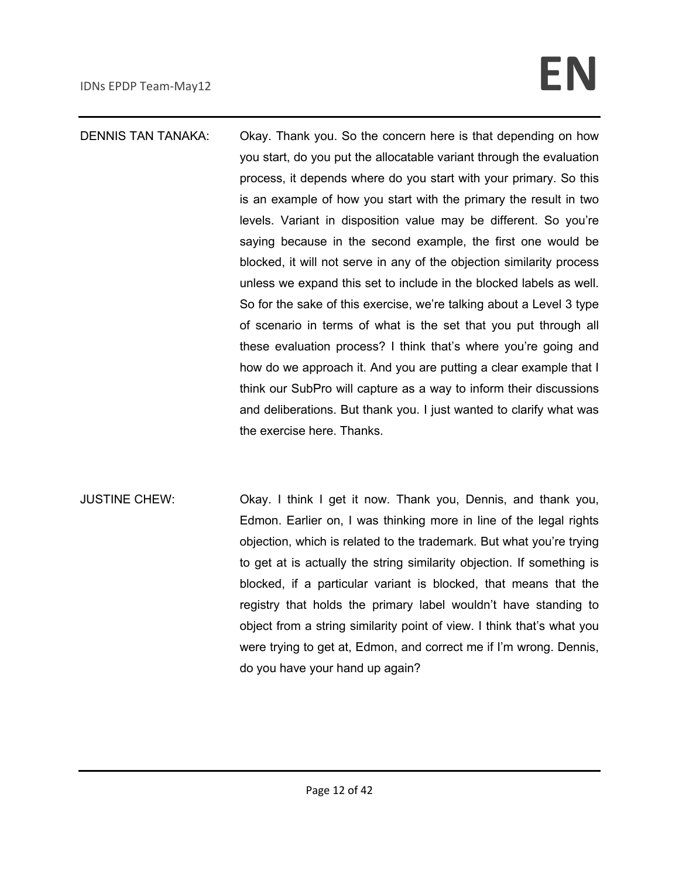DENNIS TAN TANAKA: Okay. Thank you. So the concern here is that depending on how you start, do you put the allocatable variant through the evaluation process, it depends where do you start with your primary. So this is an example of how you start with the primary the result in two levels. Variant in disposition value may be different. So you're saying because in the second example, the first one would be blocked, it will not serve in any of the objection similarity process unless we expand this set to include in the blocked labels as well. So for the sake of this exercise, we're talking about a Level 3 type of scenario in terms of what is the set that you put through all these evaluation process? I think that's where you're going and how do we approach it. And you are putting a clear example that I think our SubPro will capture as a way to inform their discussions and deliberations. But thank you. I just wanted to clarify what was the exercise here. Thanks.

JUSTINE CHEW: Okay. I think I get it now. Thank you, Dennis, and thank you, Edmon. Earlier on, I was thinking more in line of the legal rights objection, which is related to the trademark. But what you're trying to get at is actually the string similarity objection. If something is blocked, if a particular variant is blocked, that means that the registry that holds the primary label wouldn't have standing to object from a string similarity point of view. I think that's what you were trying to get at, Edmon, and correct me if I'm wrong. Dennis, do you have your hand up again?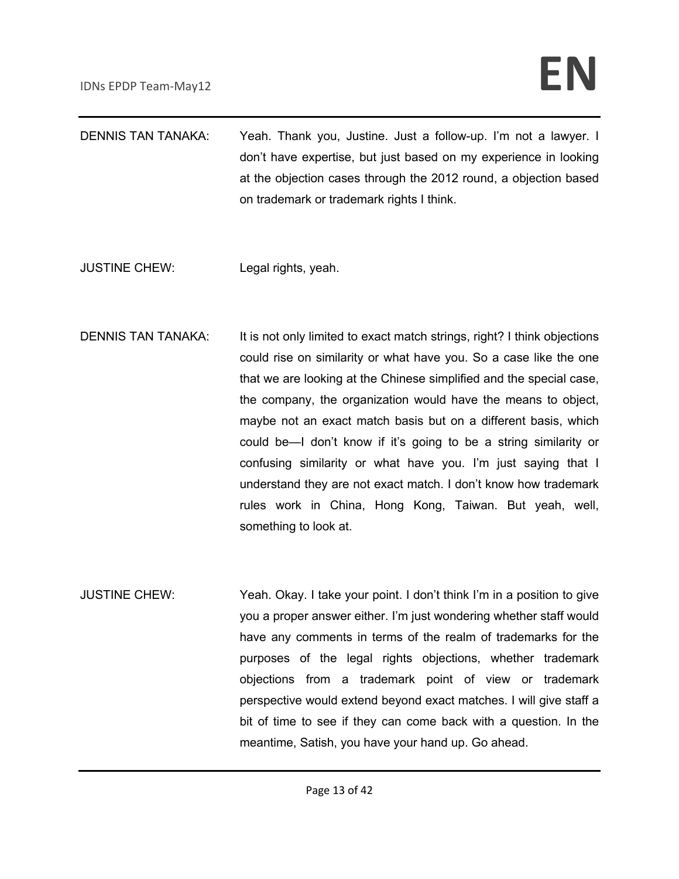| <b>DENNIS TAN TANAKA:</b> | Yeah. Thank you, Justine. Just a follow-up. I'm not a lawyer. I<br>don't have expertise, but just based on my experience in looking<br>at the objection cases through the 2012 round, a objection based<br>on trademark or trademark rights I think. |
|---------------------------|------------------------------------------------------------------------------------------------------------------------------------------------------------------------------------------------------------------------------------------------------|
| <b>JUSTINE CHEW:</b>      | Legal rights, yeah.                                                                                                                                                                                                                                  |
| <b>DENNIS TAN TANAKA:</b> | It is not only limited to exact match strings, right? I think objections<br>could rise on similarity or what have you. So a case like the one                                                                                                        |

- that we are looking at the Chinese simplified and the special case, the company, the organization would have the means to object, maybe not an exact match basis but on a different basis, which could be—I don't know if it's going to be a string similarity or confusing similarity or what have you. I'm just saying that I understand they are not exact match. I don't know how trademark rules work in China, Hong Kong, Taiwan. But yeah, well, something to look at.
- JUSTINE CHEW: Yeah. Okay. I take your point. I don't think I'm in a position to give you a proper answer either. I'm just wondering whether staff would have any comments in terms of the realm of trademarks for the purposes of the legal rights objections, whether trademark objections from a trademark point of view or trademark perspective would extend beyond exact matches. I will give staff a bit of time to see if they can come back with a question. In the meantime, Satish, you have your hand up. Go ahead.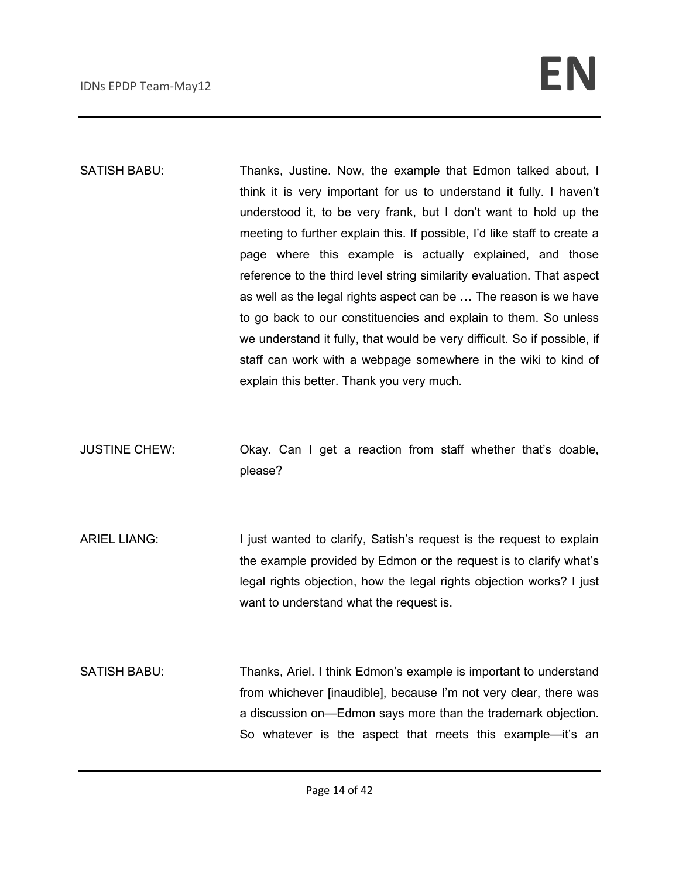SATISH BABU: Thanks, Justine. Now, the example that Edmon talked about, I think it is very important for us to understand it fully. I haven't understood it, to be very frank, but I don't want to hold up the meeting to further explain this. If possible, I'd like staff to create a page where this example is actually explained, and those reference to the third level string similarity evaluation. That aspect as well as the legal rights aspect can be … The reason is we have to go back to our constituencies and explain to them. So unless we understand it fully, that would be very difficult. So if possible, if staff can work with a webpage somewhere in the wiki to kind of explain this better. Thank you very much.

JUSTINE CHEW: Okay. Can I get a reaction from staff whether that's doable, please?

ARIEL LIANG: I just wanted to clarify, Satish's request is the request to explain the example provided by Edmon or the request is to clarify what's legal rights objection, how the legal rights objection works? I just want to understand what the request is.

SATISH BABU: Thanks, Ariel. I think Edmon's example is important to understand from whichever [inaudible], because I'm not very clear, there was a discussion on—Edmon says more than the trademark objection. So whatever is the aspect that meets this example—it's an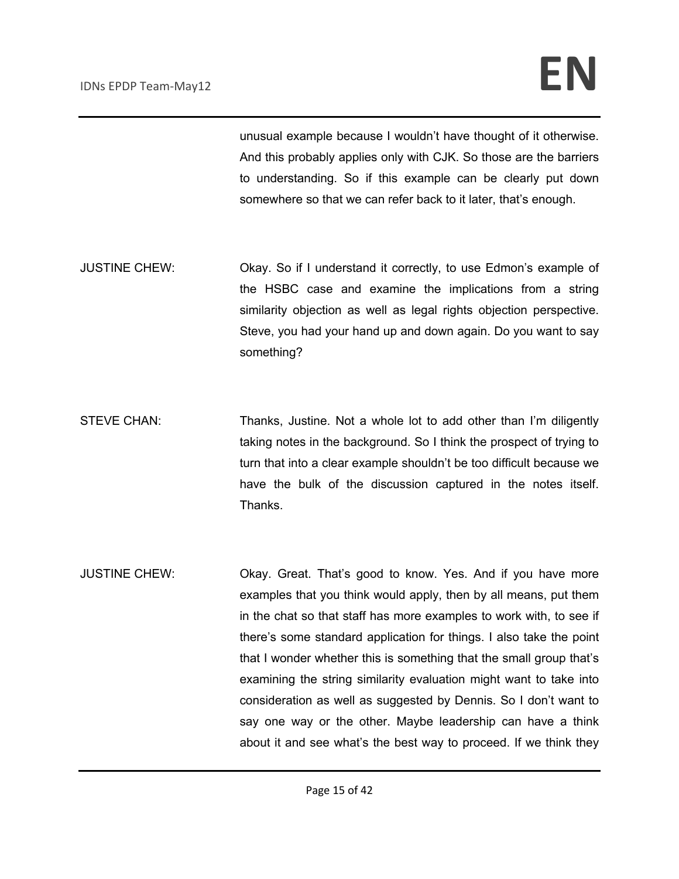unusual example because I wouldn't have thought of it otherwise. And this probably applies only with CJK. So those are the barriers to understanding. So if this example can be clearly put down somewhere so that we can refer back to it later, that's enough.

- JUSTINE CHEW: Okay. So if I understand it correctly, to use Edmon's example of the HSBC case and examine the implications from a string similarity objection as well as legal rights objection perspective. Steve, you had your hand up and down again. Do you want to say something?
- STEVE CHAN: Thanks, Justine. Not a whole lot to add other than I'm diligently taking notes in the background. So I think the prospect of trying to turn that into a clear example shouldn't be too difficult because we have the bulk of the discussion captured in the notes itself. Thanks.
- JUSTINE CHEW: Okay. Great. That's good to know. Yes. And if you have more examples that you think would apply, then by all means, put them in the chat so that staff has more examples to work with, to see if there's some standard application for things. I also take the point that I wonder whether this is something that the small group that's examining the string similarity evaluation might want to take into consideration as well as suggested by Dennis. So I don't want to say one way or the other. Maybe leadership can have a think about it and see what's the best way to proceed. If we think they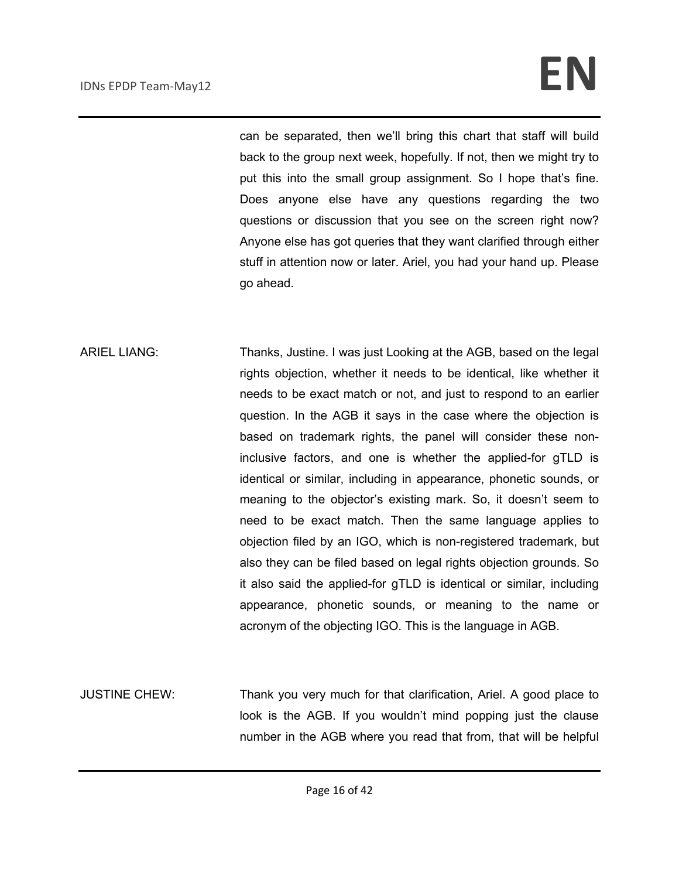can be separated, then we'll bring this chart that staff will build back to the group next week, hopefully. If not, then we might try to put this into the small group assignment. So I hope that's fine. Does anyone else have any questions regarding the two questions or discussion that you see on the screen right now? Anyone else has got queries that they want clarified through either stuff in attention now or later. Ariel, you had your hand up. Please go ahead.

- ARIEL LIANG: Thanks, Justine. I was just Looking at the AGB, based on the legal rights objection, whether it needs to be identical, like whether it needs to be exact match or not, and just to respond to an earlier question. In the AGB it says in the case where the objection is based on trademark rights, the panel will consider these noninclusive factors, and one is whether the applied-for gTLD is identical or similar, including in appearance, phonetic sounds, or meaning to the objector's existing mark. So, it doesn't seem to need to be exact match. Then the same language applies to objection filed by an IGO, which is non-registered trademark, but also they can be filed based on legal rights objection grounds. So it also said the applied-for gTLD is identical or similar, including appearance, phonetic sounds, or meaning to the name or acronym of the objecting IGO. This is the language in AGB.
- JUSTINE CHEW: Thank you very much for that clarification, Ariel. A good place to look is the AGB. If you wouldn't mind popping just the clause number in the AGB where you read that from, that will be helpful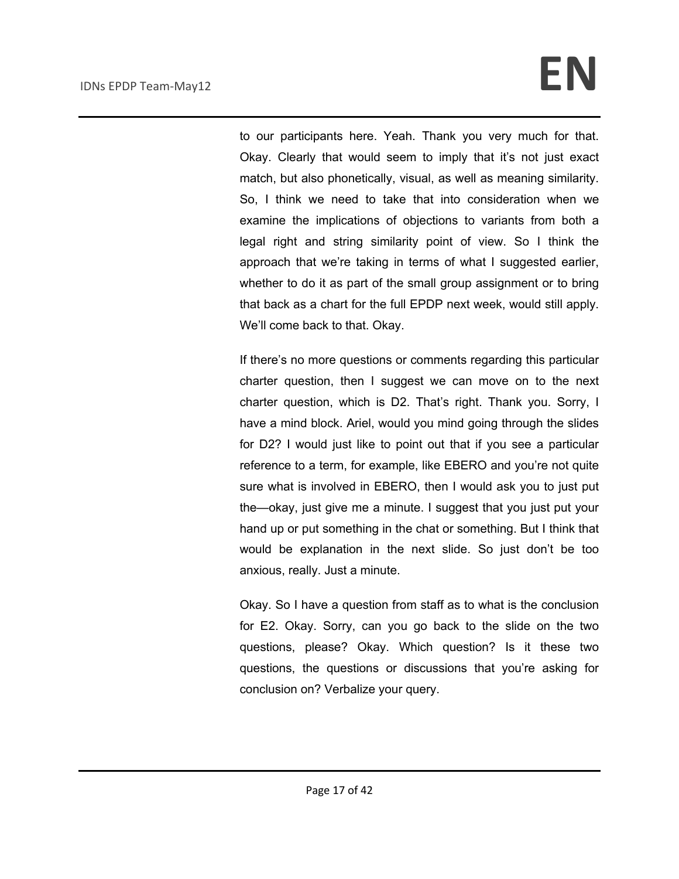to our participants here. Yeah. Thank you very much for that. Okay. Clearly that would seem to imply that it's not just exact match, but also phonetically, visual, as well as meaning similarity. So, I think we need to take that into consideration when we examine the implications of objections to variants from both a legal right and string similarity point of view. So I think the approach that we're taking in terms of what I suggested earlier, whether to do it as part of the small group assignment or to bring that back as a chart for the full EPDP next week, would still apply. We'll come back to that. Okay.

If there's no more questions or comments regarding this particular charter question, then I suggest we can move on to the next charter question, which is D2. That's right. Thank you. Sorry, I have a mind block. Ariel, would you mind going through the slides for D2? I would just like to point out that if you see a particular reference to a term, for example, like EBERO and you're not quite sure what is involved in EBERO, then I would ask you to just put the—okay, just give me a minute. I suggest that you just put your hand up or put something in the chat or something. But I think that would be explanation in the next slide. So just don't be too anxious, really. Just a minute.

Okay. So I have a question from staff as to what is the conclusion for E2. Okay. Sorry, can you go back to the slide on the two questions, please? Okay. Which question? Is it these two questions, the questions or discussions that you're asking for conclusion on? Verbalize your query.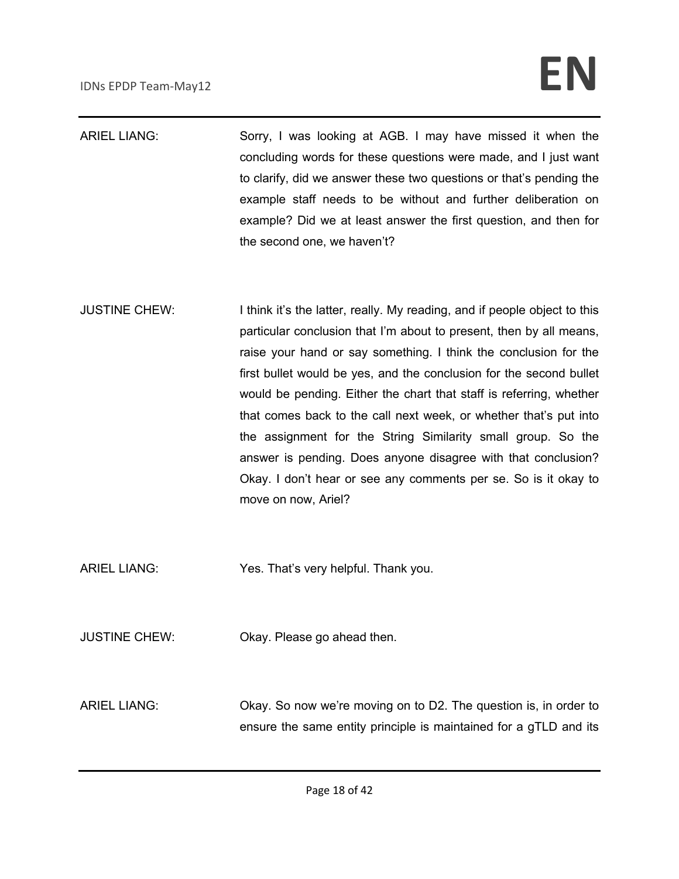| <b>ARIEL LIANG:</b>  | Sorry, I was looking at AGB. I may have missed it when the<br>concluding words for these questions were made, and I just want<br>to clarify, did we answer these two questions or that's pending the<br>example staff needs to be without and further deliberation on<br>example? Did we at least answer the first question, and then for<br>the second one, we haven't?                                                                                                                                                                                                                                                                                           |
|----------------------|--------------------------------------------------------------------------------------------------------------------------------------------------------------------------------------------------------------------------------------------------------------------------------------------------------------------------------------------------------------------------------------------------------------------------------------------------------------------------------------------------------------------------------------------------------------------------------------------------------------------------------------------------------------------|
| <b>JUSTINE CHEW:</b> | I think it's the latter, really. My reading, and if people object to this<br>particular conclusion that I'm about to present, then by all means,<br>raise your hand or say something. I think the conclusion for the<br>first bullet would be yes, and the conclusion for the second bullet<br>would be pending. Either the chart that staff is referring, whether<br>that comes back to the call next week, or whether that's put into<br>the assignment for the String Similarity small group. So the<br>answer is pending. Does anyone disagree with that conclusion?<br>Okay. I don't hear or see any comments per se. So is it okay to<br>move on now, Ariel? |
| <b>ARIEL LIANG:</b>  | Yes. That's very helpful. Thank you.                                                                                                                                                                                                                                                                                                                                                                                                                                                                                                                                                                                                                               |
| <b>JUSTINE CHEW:</b> | Okay. Please go ahead then.                                                                                                                                                                                                                                                                                                                                                                                                                                                                                                                                                                                                                                        |
| <b>ARIEL LIANG:</b>  | Okay. So now we're moving on to D2. The question is, in order to<br>ensure the same entity principle is maintained for a gTLD and its                                                                                                                                                                                                                                                                                                                                                                                                                                                                                                                              |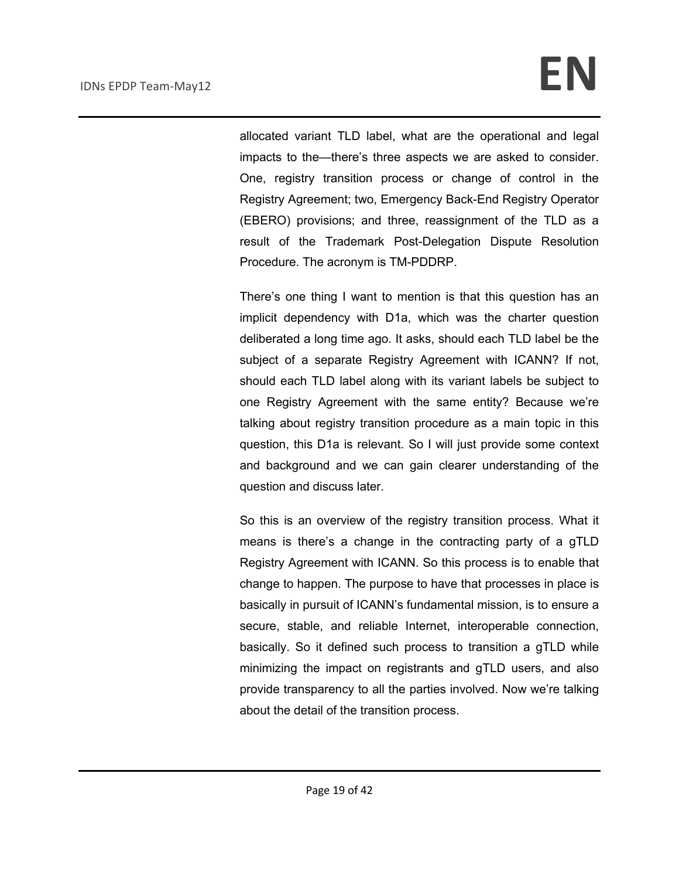allocated variant TLD label, what are the operational and legal impacts to the—there's three aspects we are asked to consider. One, registry transition process or change of control in the Registry Agreement; two, Emergency Back-End Registry Operator (EBERO) provisions; and three, reassignment of the TLD as a result of the Trademark Post-Delegation Dispute Resolution Procedure. The acronym is TM-PDDRP.

There's one thing I want to mention is that this question has an implicit dependency with D1a, which was the charter question deliberated a long time ago. It asks, should each TLD label be the subject of a separate Registry Agreement with ICANN? If not, should each TLD label along with its variant labels be subject to one Registry Agreement with the same entity? Because we're talking about registry transition procedure as a main topic in this question, this D1a is relevant. So I will just provide some context and background and we can gain clearer understanding of the question and discuss later.

So this is an overview of the registry transition process. What it means is there's a change in the contracting party of a gTLD Registry Agreement with ICANN. So this process is to enable that change to happen. The purpose to have that processes in place is basically in pursuit of ICANN's fundamental mission, is to ensure a secure, stable, and reliable Internet, interoperable connection, basically. So it defined such process to transition a gTLD while minimizing the impact on registrants and gTLD users, and also provide transparency to all the parties involved. Now we're talking about the detail of the transition process.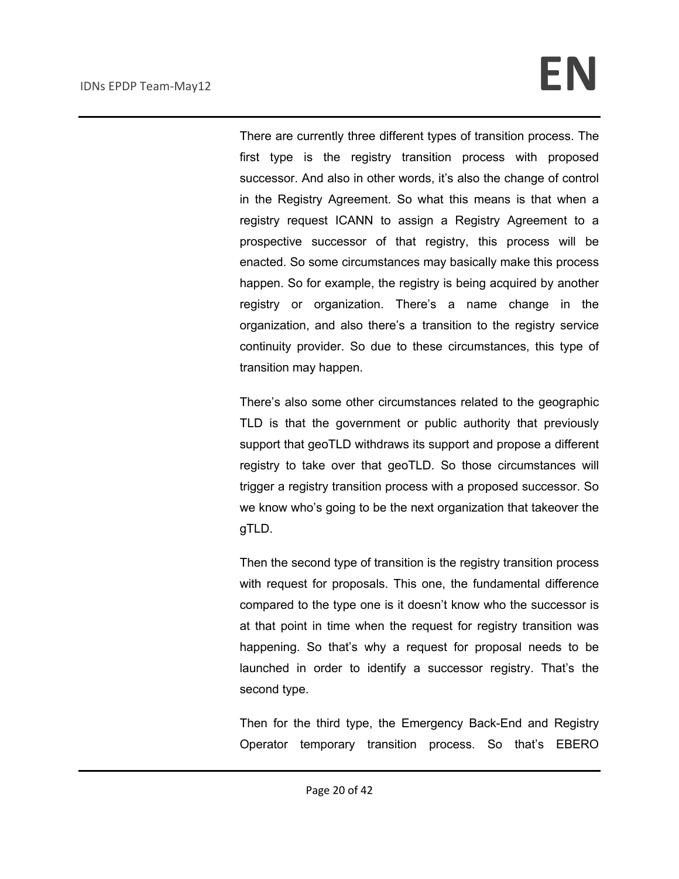There are currently three different types of transition process. The first type is the registry transition process with proposed successor. And also in other words, it's also the change of control in the Registry Agreement. So what this means is that when a registry request ICANN to assign a Registry Agreement to a prospective successor of that registry, this process will be enacted. So some circumstances may basically make this process happen. So for example, the registry is being acquired by another registry or organization. There's a name change in the organization, and also there's a transition to the registry service continuity provider. So due to these circumstances, this type of transition may happen.

There's also some other circumstances related to the geographic TLD is that the government or public authority that previously support that geoTLD withdraws its support and propose a different registry to take over that geoTLD. So those circumstances will trigger a registry transition process with a proposed successor. So we know who's going to be the next organization that takeover the gTLD.

Then the second type of transition is the registry transition process with request for proposals. This one, the fundamental difference compared to the type one is it doesn't know who the successor is at that point in time when the request for registry transition was happening. So that's why a request for proposal needs to be launched in order to identify a successor registry. That's the second type.

Then for the third type, the Emergency Back-End and Registry Operator temporary transition process. So that's EBERO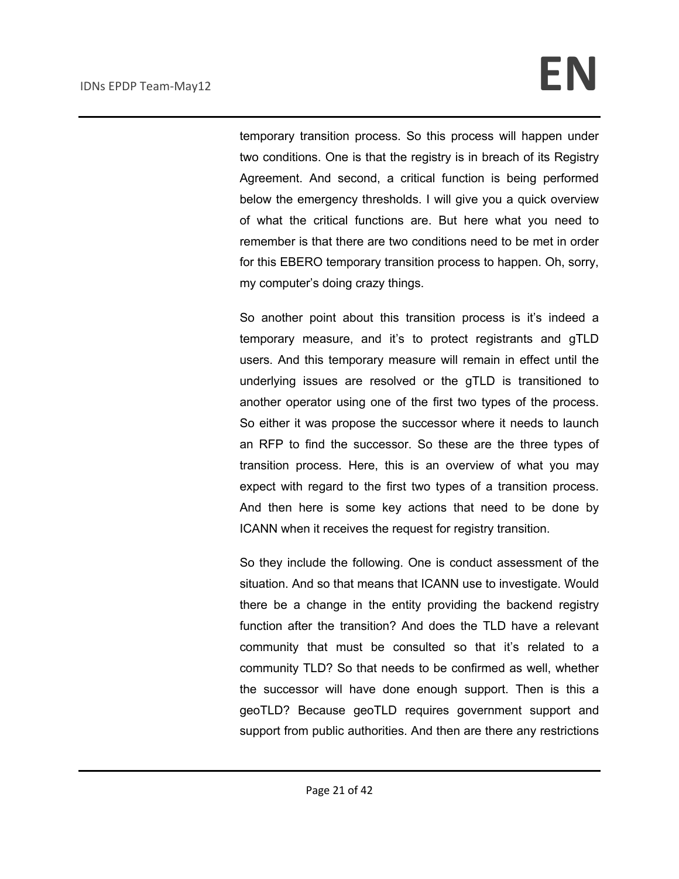temporary transition process. So this process will happen under two conditions. One is that the registry is in breach of its Registry Agreement. And second, a critical function is being performed below the emergency thresholds. I will give you a quick overview of what the critical functions are. But here what you need to remember is that there are two conditions need to be met in order for this EBERO temporary transition process to happen. Oh, sorry, my computer's doing crazy things.

So another point about this transition process is it's indeed a temporary measure, and it's to protect registrants and gTLD users. And this temporary measure will remain in effect until the underlying issues are resolved or the gTLD is transitioned to another operator using one of the first two types of the process. So either it was propose the successor where it needs to launch an RFP to find the successor. So these are the three types of transition process. Here, this is an overview of what you may expect with regard to the first two types of a transition process. And then here is some key actions that need to be done by ICANN when it receives the request for registry transition.

So they include the following. One is conduct assessment of the situation. And so that means that ICANN use to investigate. Would there be a change in the entity providing the backend registry function after the transition? And does the TLD have a relevant community that must be consulted so that it's related to a community TLD? So that needs to be confirmed as well, whether the successor will have done enough support. Then is this a geoTLD? Because geoTLD requires government support and support from public authorities. And then are there any restrictions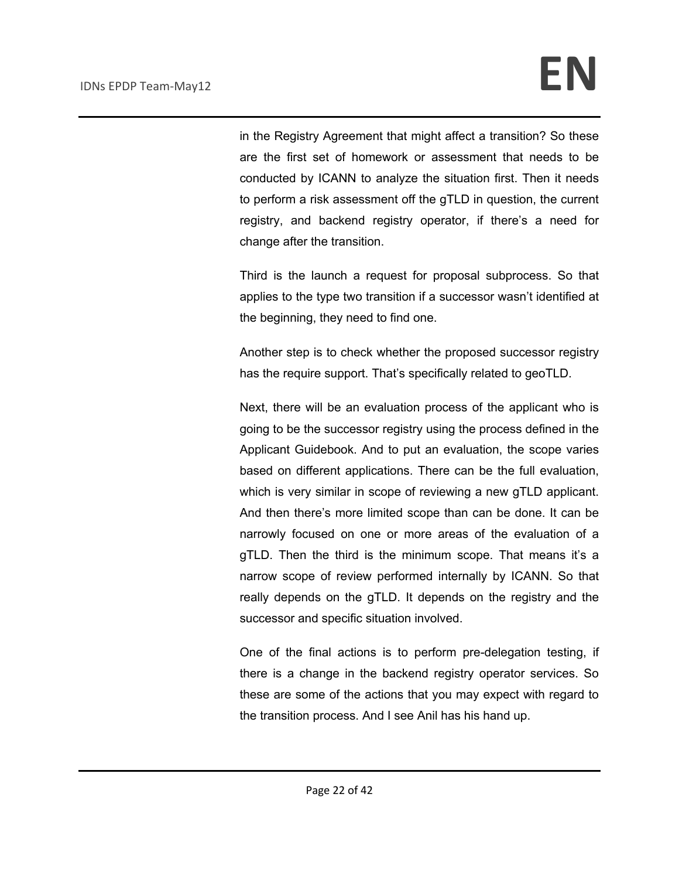in the Registry Agreement that might affect a transition? So these are the first set of homework or assessment that needs to be conducted by ICANN to analyze the situation first. Then it needs to perform a risk assessment off the gTLD in question, the current registry, and backend registry operator, if there's a need for change after the transition.

Third is the launch a request for proposal subprocess. So that applies to the type two transition if a successor wasn't identified at the beginning, they need to find one.

Another step is to check whether the proposed successor registry has the require support. That's specifically related to geoTLD.

Next, there will be an evaluation process of the applicant who is going to be the successor registry using the process defined in the Applicant Guidebook. And to put an evaluation, the scope varies based on different applications. There can be the full evaluation, which is very similar in scope of reviewing a new gTLD applicant. And then there's more limited scope than can be done. It can be narrowly focused on one or more areas of the evaluation of a gTLD. Then the third is the minimum scope. That means it's a narrow scope of review performed internally by ICANN. So that really depends on the gTLD. It depends on the registry and the successor and specific situation involved.

One of the final actions is to perform pre-delegation testing, if there is a change in the backend registry operator services. So these are some of the actions that you may expect with regard to the transition process. And I see Anil has his hand up.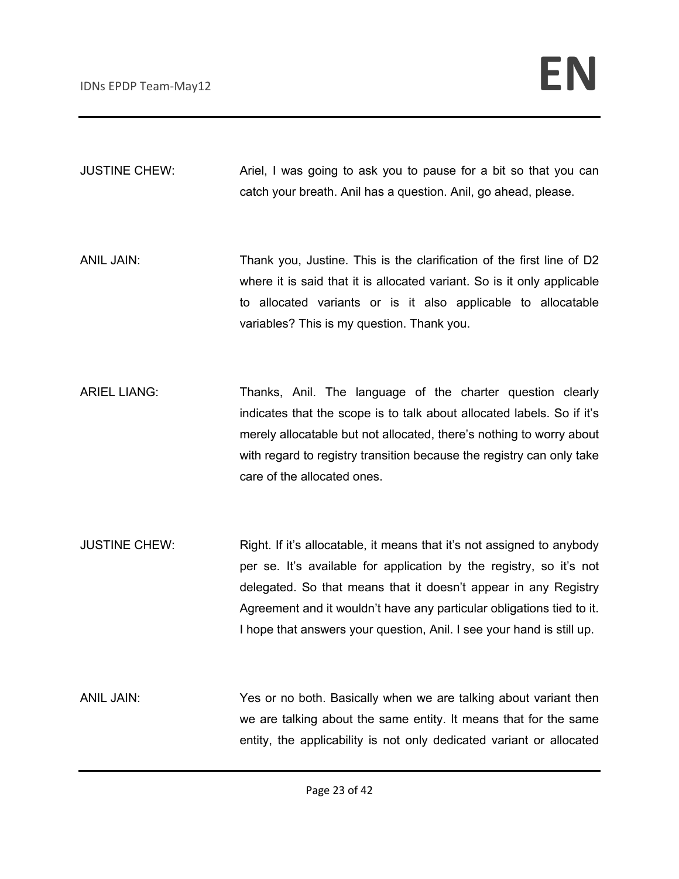JUSTINE CHEW: Ariel, I was going to ask you to pause for a bit so that you can catch your breath. Anil has a question. Anil, go ahead, please.

ANIL JAIN: Thank you, Justine. This is the clarification of the first line of D2 where it is said that it is allocated variant. So is it only applicable to allocated variants or is it also applicable to allocatable variables? This is my question. Thank you.

ARIEL LIANG: Thanks, Anil. The language of the charter question clearly indicates that the scope is to talk about allocated labels. So if it's merely allocatable but not allocated, there's nothing to worry about with regard to registry transition because the registry can only take care of the allocated ones.

JUSTINE CHEW: Right. If it's allocatable, it means that it's not assigned to anybody per se. It's available for application by the registry, so it's not delegated. So that means that it doesn't appear in any Registry Agreement and it wouldn't have any particular obligations tied to it. I hope that answers your question, Anil. I see your hand is still up.

ANIL JAIN: Yes or no both. Basically when we are talking about variant then we are talking about the same entity. It means that for the same entity, the applicability is not only dedicated variant or allocated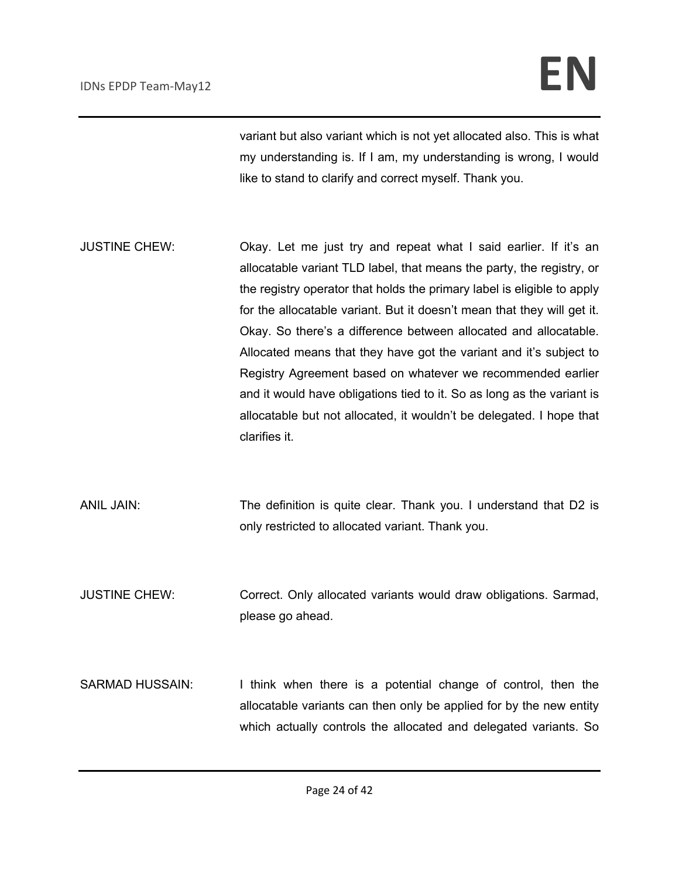variant but also variant which is not yet allocated also. This is what my understanding is. If I am, my understanding is wrong, I would like to stand to clarify and correct myself. Thank you.

- JUSTINE CHEW: Okay. Let me just try and repeat what I said earlier. If it's an allocatable variant TLD label, that means the party, the registry, or the registry operator that holds the primary label is eligible to apply for the allocatable variant. But it doesn't mean that they will get it. Okay. So there's a difference between allocated and allocatable. Allocated means that they have got the variant and it's subject to Registry Agreement based on whatever we recommended earlier and it would have obligations tied to it. So as long as the variant is allocatable but not allocated, it wouldn't be delegated. I hope that clarifies it.
- ANIL JAIN: The definition is quite clear. Thank you. I understand that D2 is only restricted to allocated variant. Thank you.
- JUSTINE CHEW: Correct. Only allocated variants would draw obligations. Sarmad, please go ahead.
- SARMAD HUSSAIN: I think when there is a potential change of control, then the allocatable variants can then only be applied for by the new entity which actually controls the allocated and delegated variants. So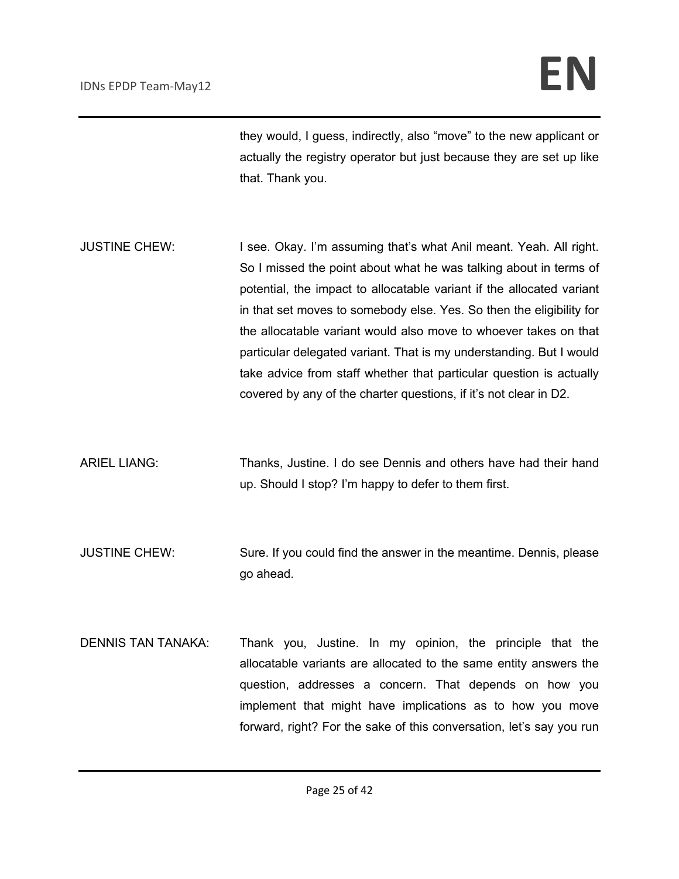they would, I guess, indirectly, also "move" to the new applicant or actually the registry operator but just because they are set up like that. Thank you.

- JUSTINE CHEW: I see. Okay. I'm assuming that's what Anil meant. Yeah. All right. So I missed the point about what he was talking about in terms of potential, the impact to allocatable variant if the allocated variant in that set moves to somebody else. Yes. So then the eligibility for the allocatable variant would also move to whoever takes on that particular delegated variant. That is my understanding. But I would take advice from staff whether that particular question is actually covered by any of the charter questions, if it's not clear in D2.
- ARIEL LIANG: Thanks, Justine. I do see Dennis and others have had their hand up. Should I stop? I'm happy to defer to them first.
- JUSTINE CHEW: Sure. If you could find the answer in the meantime. Dennis, please go ahead.
- DENNIS TAN TANAKA: Thank you, Justine. In my opinion, the principle that the allocatable variants are allocated to the same entity answers the question, addresses a concern. That depends on how you implement that might have implications as to how you move forward, right? For the sake of this conversation, let's say you run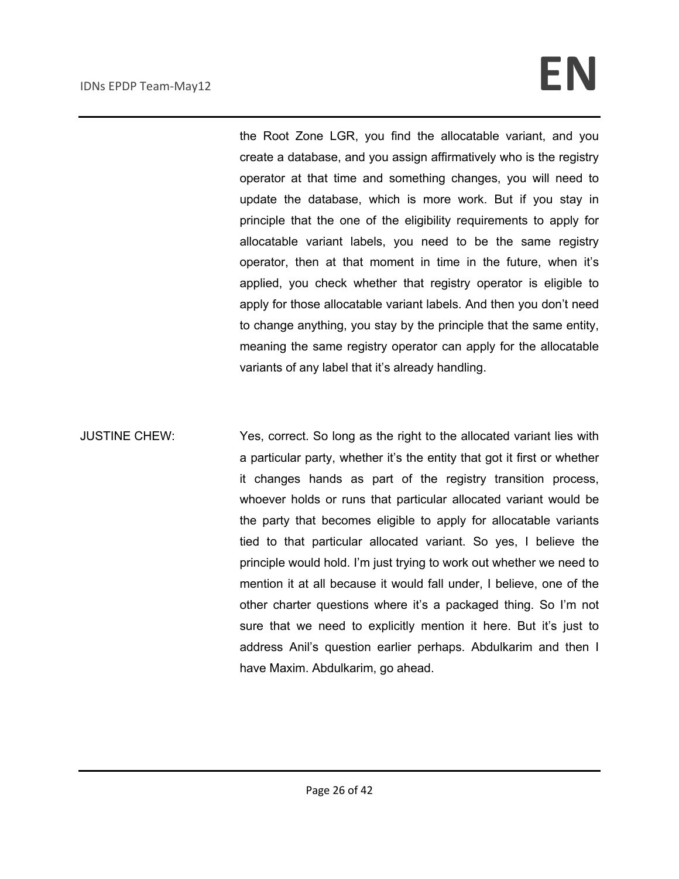the Root Zone LGR, you find the allocatable variant, and you create a database, and you assign affirmatively who is the registry operator at that time and something changes, you will need to update the database, which is more work. But if you stay in principle that the one of the eligibility requirements to apply for allocatable variant labels, you need to be the same registry operator, then at that moment in time in the future, when it's applied, you check whether that registry operator is eligible to apply for those allocatable variant labels. And then you don't need to change anything, you stay by the principle that the same entity, meaning the same registry operator can apply for the allocatable variants of any label that it's already handling.

JUSTINE CHEW: Yes, correct. So long as the right to the allocated variant lies with a particular party, whether it's the entity that got it first or whether it changes hands as part of the registry transition process, whoever holds or runs that particular allocated variant would be the party that becomes eligible to apply for allocatable variants tied to that particular allocated variant. So yes, I believe the principle would hold. I'm just trying to work out whether we need to mention it at all because it would fall under, I believe, one of the other charter questions where it's a packaged thing. So I'm not sure that we need to explicitly mention it here. But it's just to address Anil's question earlier perhaps. Abdulkarim and then I have Maxim. Abdulkarim, go ahead.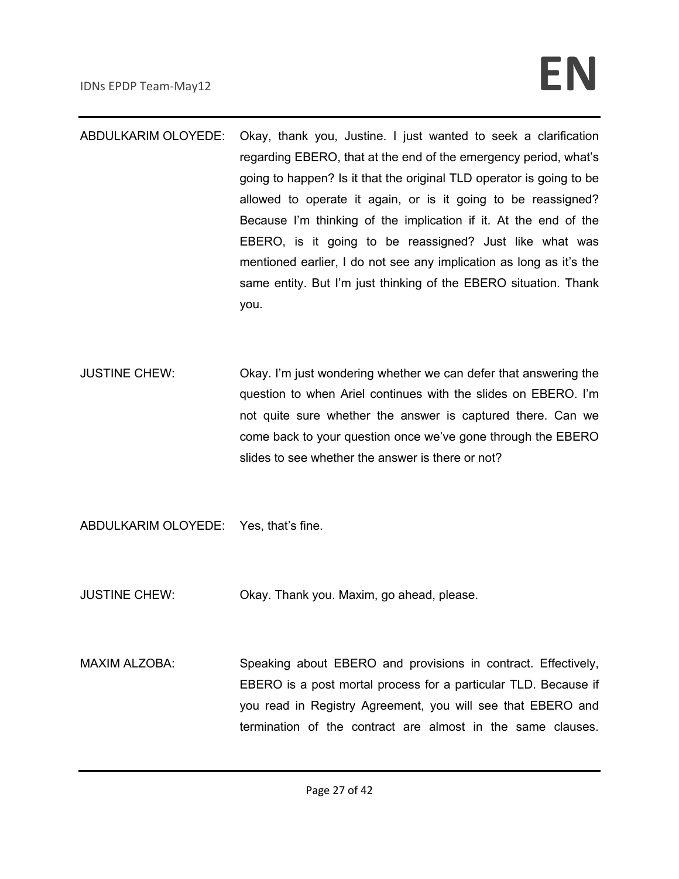- ABDULKARIM OLOYEDE: Okay, thank you, Justine. I just wanted to seek a clarification regarding EBERO, that at the end of the emergency period, what's going to happen? Is it that the original TLD operator is going to be allowed to operate it again, or is it going to be reassigned? Because I'm thinking of the implication if it. At the end of the EBERO, is it going to be reassigned? Just like what was mentioned earlier, I do not see any implication as long as it's the same entity. But I'm just thinking of the EBERO situation. Thank you.
- JUSTINE CHEW: Okay. I'm just wondering whether we can defer that answering the question to when Ariel continues with the slides on EBERO. I'm not quite sure whether the answer is captured there. Can we come back to your question once we've gone through the EBERO slides to see whether the answer is there or not?
- ABDULKARIM OLOYEDE: Yes, that's fine.
- JUSTINE CHEW: Okay. Thank you. Maxim, go ahead, please.
- MAXIM ALZOBA: Speaking about EBERO and provisions in contract. Effectively, EBERO is a post mortal process for a particular TLD. Because if you read in Registry Agreement, you will see that EBERO and termination of the contract are almost in the same clauses.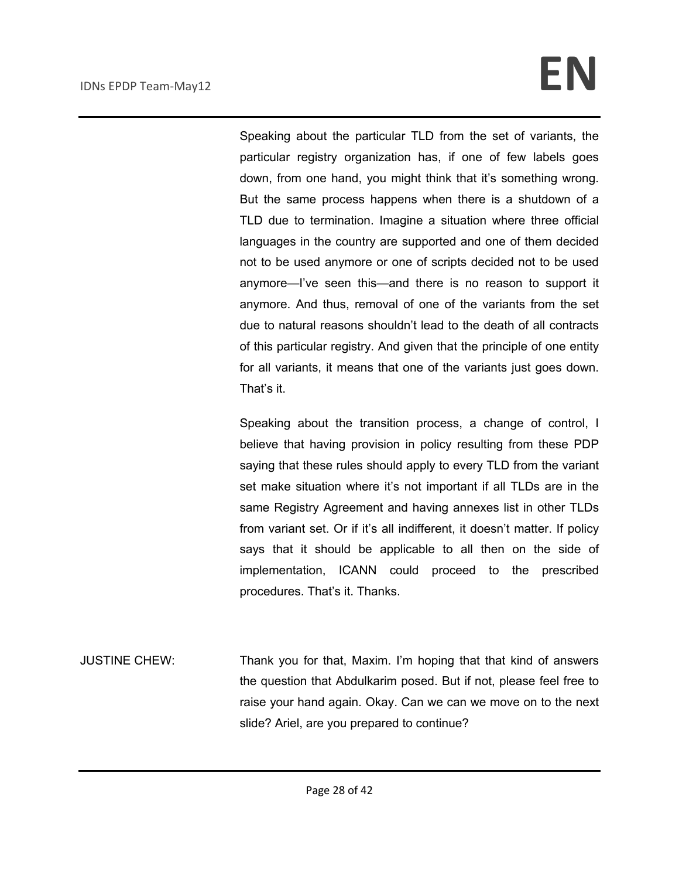Speaking about the particular TLD from the set of variants, the particular registry organization has, if one of few labels goes down, from one hand, you might think that it's something wrong. But the same process happens when there is a shutdown of a TLD due to termination. Imagine a situation where three official languages in the country are supported and one of them decided not to be used anymore or one of scripts decided not to be used anymore—I've seen this—and there is no reason to support it anymore. And thus, removal of one of the variants from the set due to natural reasons shouldn't lead to the death of all contracts of this particular registry. And given that the principle of one entity for all variants, it means that one of the variants just goes down. That's it.

Speaking about the transition process, a change of control, I believe that having provision in policy resulting from these PDP saying that these rules should apply to every TLD from the variant set make situation where it's not important if all TLDs are in the same Registry Agreement and having annexes list in other TLDs from variant set. Or if it's all indifferent, it doesn't matter. If policy says that it should be applicable to all then on the side of implementation, ICANN could proceed to the prescribed procedures. That's it. Thanks.

JUSTINE CHEW: Thank you for that, Maxim. I'm hoping that that kind of answers the question that Abdulkarim posed. But if not, please feel free to raise your hand again. Okay. Can we can we move on to the next slide? Ariel, are you prepared to continue?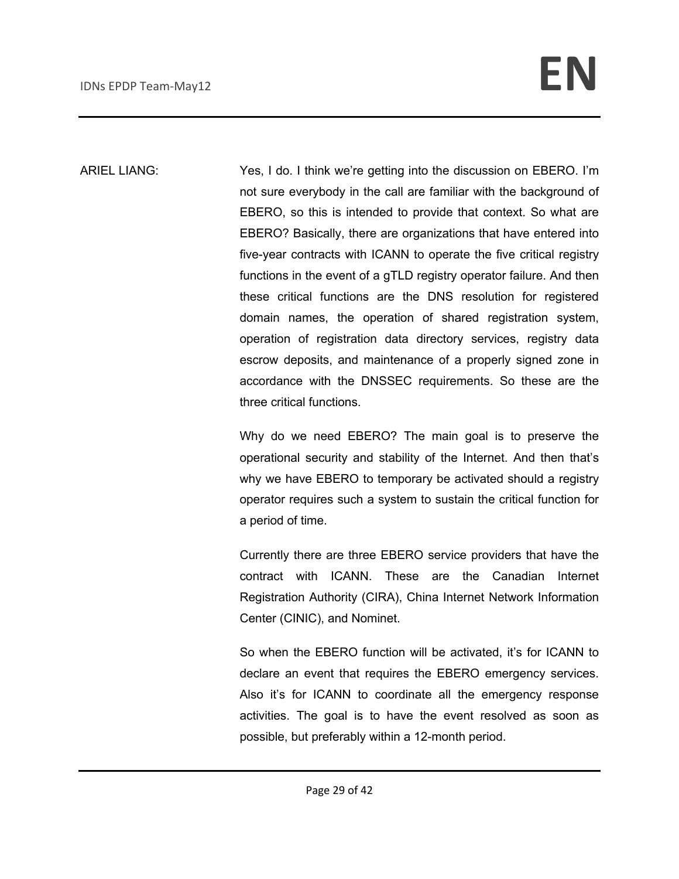ARIEL LIANG: Yes, I do. I think we're getting into the discussion on EBERO. I'm not sure everybody in the call are familiar with the background of EBERO, so this is intended to provide that context. So what are EBERO? Basically, there are organizations that have entered into five-year contracts with ICANN to operate the five critical registry functions in the event of a gTLD registry operator failure. And then these critical functions are the DNS resolution for registered domain names, the operation of shared registration system, operation of registration data directory services, registry data escrow deposits, and maintenance of a properly signed zone in accordance with the DNSSEC requirements. So these are the three critical functions.

> Why do we need EBERO? The main goal is to preserve the operational security and stability of the Internet. And then that's why we have EBERO to temporary be activated should a registry operator requires such a system to sustain the critical function for a period of time.

> Currently there are three EBERO service providers that have the contract with ICANN. These are the Canadian Internet Registration Authority (CIRA), China Internet Network Information Center (CINIC), and Nominet.

> So when the EBERO function will be activated, it's for ICANN to declare an event that requires the EBERO emergency services. Also it's for ICANN to coordinate all the emergency response activities. The goal is to have the event resolved as soon as possible, but preferably within a 12-month period.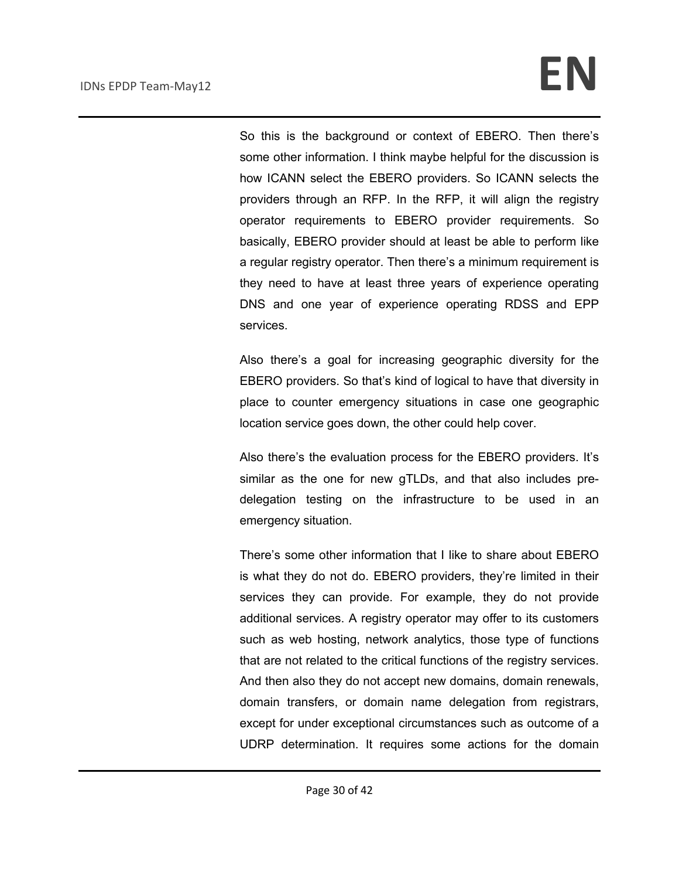So this is the background or context of EBERO. Then there's some other information. I think maybe helpful for the discussion is how ICANN select the EBERO providers. So ICANN selects the providers through an RFP. In the RFP, it will align the registry operator requirements to EBERO provider requirements. So basically, EBERO provider should at least be able to perform like a regular registry operator. Then there's a minimum requirement is they need to have at least three years of experience operating DNS and one year of experience operating RDSS and EPP services.

Also there's a goal for increasing geographic diversity for the EBERO providers. So that's kind of logical to have that diversity in place to counter emergency situations in case one geographic location service goes down, the other could help cover.

Also there's the evaluation process for the EBERO providers. It's similar as the one for new gTLDs, and that also includes predelegation testing on the infrastructure to be used in an emergency situation.

There's some other information that I like to share about EBERO is what they do not do. EBERO providers, they're limited in their services they can provide. For example, they do not provide additional services. A registry operator may offer to its customers such as web hosting, network analytics, those type of functions that are not related to the critical functions of the registry services. And then also they do not accept new domains, domain renewals, domain transfers, or domain name delegation from registrars, except for under exceptional circumstances such as outcome of a UDRP determination. It requires some actions for the domain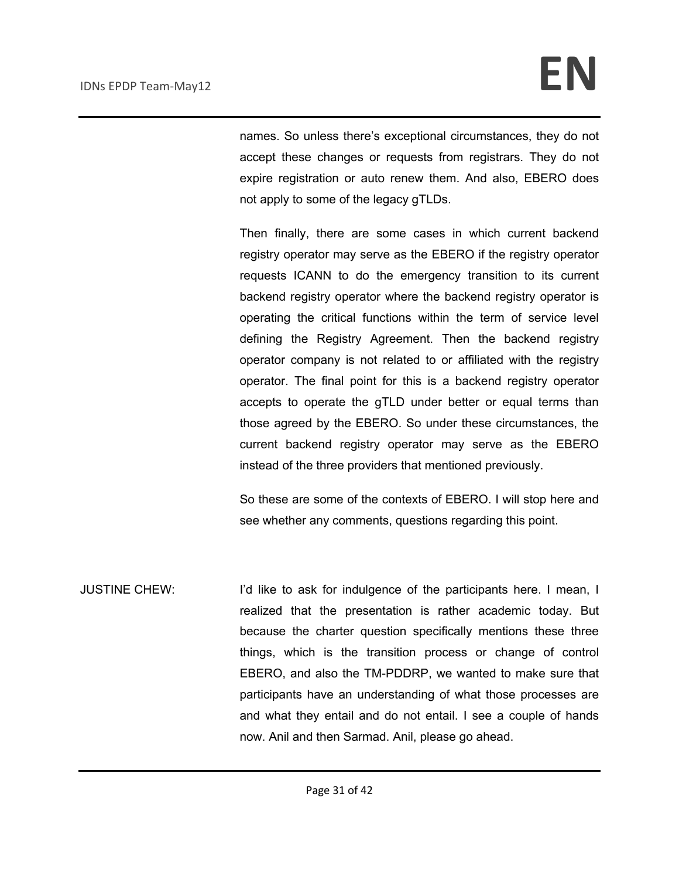names. So unless there's exceptional circumstances, they do not accept these changes or requests from registrars. They do not expire registration or auto renew them. And also, EBERO does not apply to some of the legacy gTLDs.

Then finally, there are some cases in which current backend registry operator may serve as the EBERO if the registry operator requests ICANN to do the emergency transition to its current backend registry operator where the backend registry operator is operating the critical functions within the term of service level defining the Registry Agreement. Then the backend registry operator company is not related to or affiliated with the registry operator. The final point for this is a backend registry operator accepts to operate the gTLD under better or equal terms than those agreed by the EBERO. So under these circumstances, the current backend registry operator may serve as the EBERO instead of the three providers that mentioned previously.

So these are some of the contexts of EBERO. I will stop here and see whether any comments, questions regarding this point.

JUSTINE CHEW: I'd like to ask for indulgence of the participants here. I mean, I realized that the presentation is rather academic today. But because the charter question specifically mentions these three things, which is the transition process or change of control EBERO, and also the TM-PDDRP, we wanted to make sure that participants have an understanding of what those processes are and what they entail and do not entail. I see a couple of hands now. Anil and then Sarmad. Anil, please go ahead.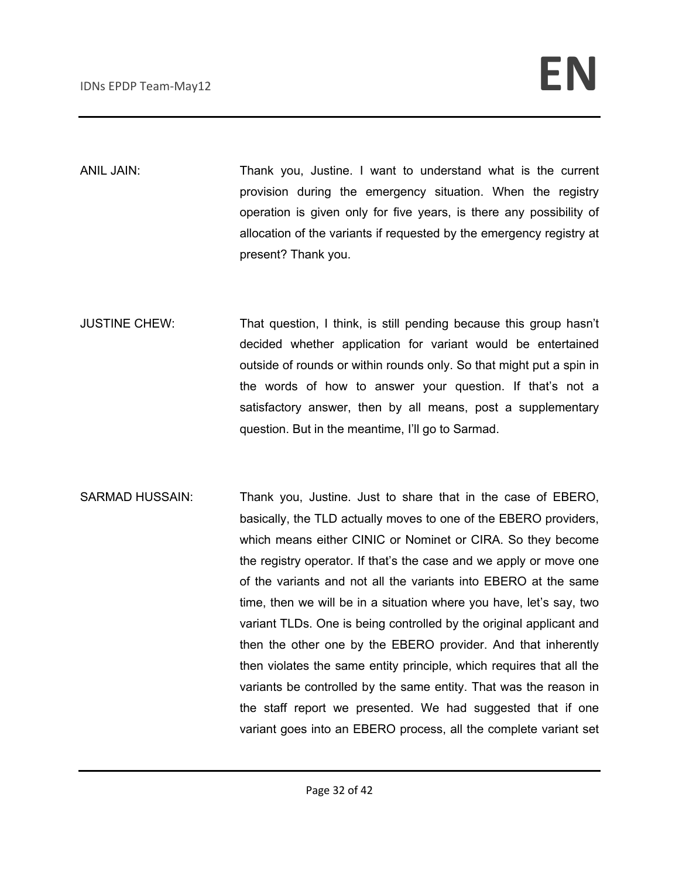ANIL JAIN: Thank you, Justine. I want to understand what is the current provision during the emergency situation. When the registry operation is given only for five years, is there any possibility of allocation of the variants if requested by the emergency registry at present? Thank you.

- JUSTINE CHEW: That question, I think, is still pending because this group hasn't decided whether application for variant would be entertained outside of rounds or within rounds only. So that might put a spin in the words of how to answer your question. If that's not a satisfactory answer, then by all means, post a supplementary question. But in the meantime, I'll go to Sarmad.
- SARMAD HUSSAIN: Thank you, Justine. Just to share that in the case of EBERO, basically, the TLD actually moves to one of the EBERO providers, which means either CINIC or Nominet or CIRA. So they become the registry operator. If that's the case and we apply or move one of the variants and not all the variants into EBERO at the same time, then we will be in a situation where you have, let's say, two variant TLDs. One is being controlled by the original applicant and then the other one by the EBERO provider. And that inherently then violates the same entity principle, which requires that all the variants be controlled by the same entity. That was the reason in the staff report we presented. We had suggested that if one variant goes into an EBERO process, all the complete variant set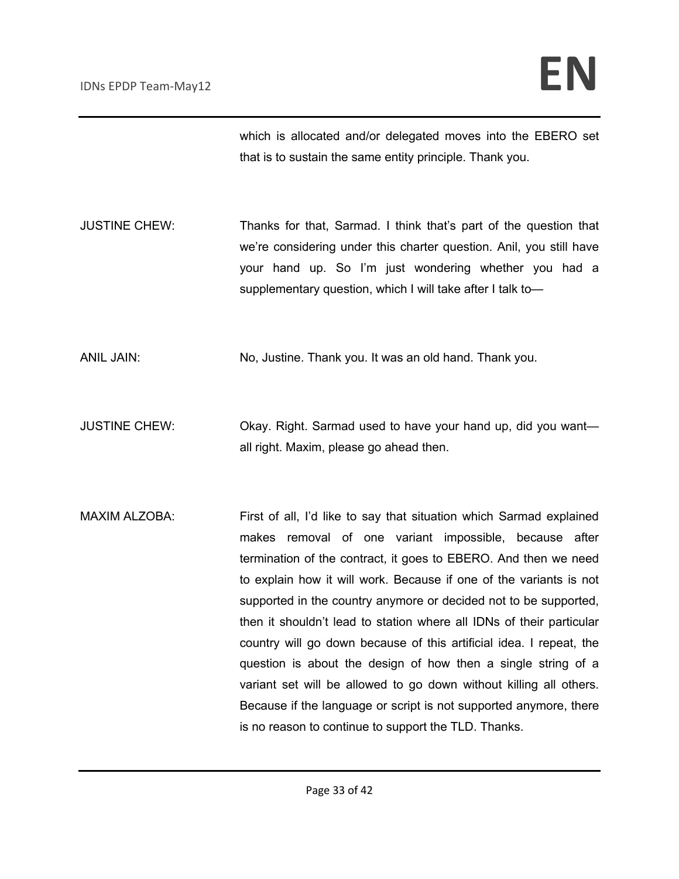which is allocated and/or delegated moves into the EBERO set that is to sustain the same entity principle. Thank you.

JUSTINE CHEW: Thanks for that, Sarmad. I think that's part of the question that we're considering under this charter question. Anil, you still have your hand up. So I'm just wondering whether you had a supplementary question, which I will take after I talk to—

ANIL JAIN: No, Justine. Thank you. It was an old hand. Thank you.

- JUSTINE CHEW: Okay. Right. Sarmad used to have your hand up, did you want all right. Maxim, please go ahead then.
- MAXIM ALZOBA: First of all, I'd like to say that situation which Sarmad explained makes removal of one variant impossible, because after termination of the contract, it goes to EBERO. And then we need to explain how it will work. Because if one of the variants is not supported in the country anymore or decided not to be supported, then it shouldn't lead to station where all IDNs of their particular country will go down because of this artificial idea. I repeat, the question is about the design of how then a single string of a variant set will be allowed to go down without killing all others. Because if the language or script is not supported anymore, there is no reason to continue to support the TLD. Thanks.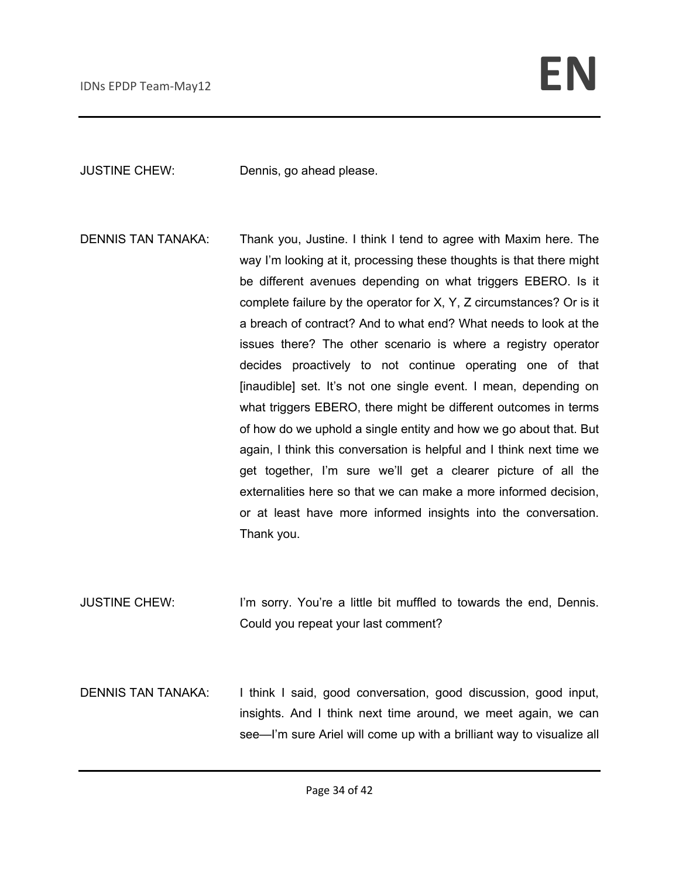JUSTINE CHEW: Dennis, go ahead please.

DENNIS TAN TANAKA: Thank you, Justine. I think I tend to agree with Maxim here. The way I'm looking at it, processing these thoughts is that there might be different avenues depending on what triggers EBERO. Is it complete failure by the operator for X, Y, Z circumstances? Or is it a breach of contract? And to what end? What needs to look at the issues there? The other scenario is where a registry operator decides proactively to not continue operating one of that [inaudible] set. It's not one single event. I mean, depending on what triggers EBERO, there might be different outcomes in terms of how do we uphold a single entity and how we go about that. But again, I think this conversation is helpful and I think next time we get together, I'm sure we'll get a clearer picture of all the externalities here so that we can make a more informed decision, or at least have more informed insights into the conversation. Thank you.

JUSTINE CHEW: I'm sorry. You're a little bit muffled to towards the end, Dennis. Could you repeat your last comment?

DENNIS TAN TANAKA: I think I said, good conversation, good discussion, good input, insights. And I think next time around, we meet again, we can see—I'm sure Ariel will come up with a brilliant way to visualize all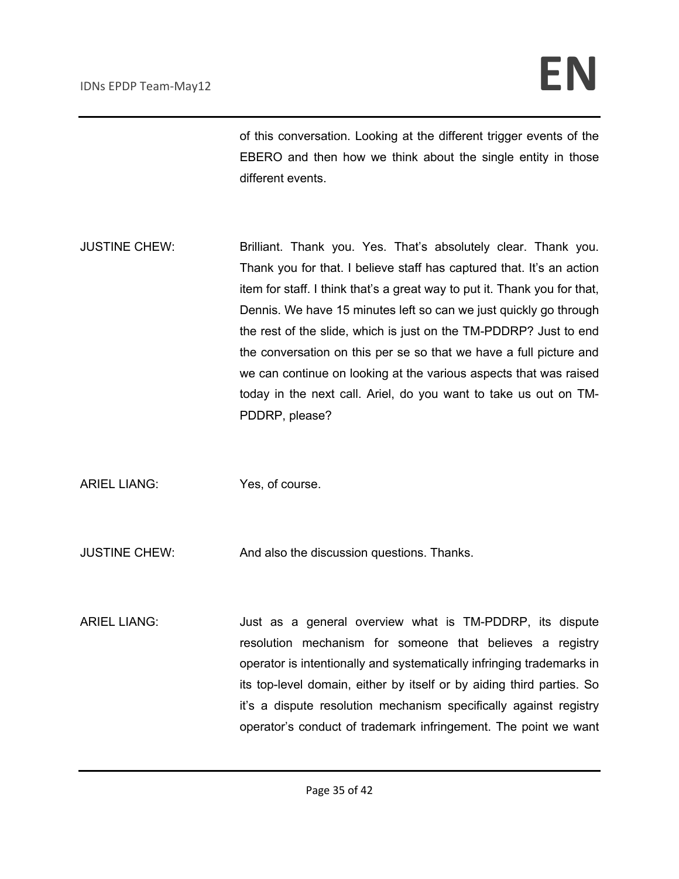of this conversation. Looking at the different trigger events of the EBERO and then how we think about the single entity in those different events.

- JUSTINE CHEW: Brilliant. Thank you. Yes. That's absolutely clear. Thank you. Thank you for that. I believe staff has captured that. It's an action item for staff. I think that's a great way to put it. Thank you for that, Dennis. We have 15 minutes left so can we just quickly go through the rest of the slide, which is just on the TM-PDDRP? Just to end the conversation on this per se so that we have a full picture and we can continue on looking at the various aspects that was raised today in the next call. Ariel, do you want to take us out on TM-PDDRP, please?
- ARIEL LIANG: Yes, of course.

JUSTINE CHEW: And also the discussion questions. Thanks.

ARIEL LIANG: Just as a general overview what is TM-PDDRP, its dispute resolution mechanism for someone that believes a registry operator is intentionally and systematically infringing trademarks in its top-level domain, either by itself or by aiding third parties. So it's a dispute resolution mechanism specifically against registry operator's conduct of trademark infringement. The point we want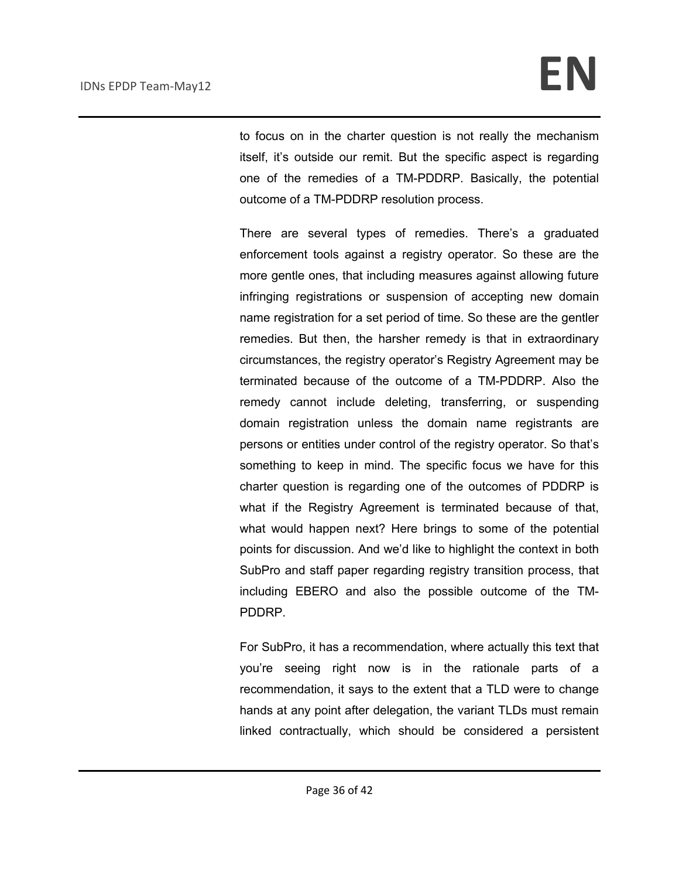to focus on in the charter question is not really the mechanism itself, it's outside our remit. But the specific aspect is regarding one of the remedies of a TM-PDDRP. Basically, the potential outcome of a TM-PDDRP resolution process.

There are several types of remedies. There's a graduated enforcement tools against a registry operator. So these are the more gentle ones, that including measures against allowing future infringing registrations or suspension of accepting new domain name registration for a set period of time. So these are the gentler remedies. But then, the harsher remedy is that in extraordinary circumstances, the registry operator's Registry Agreement may be terminated because of the outcome of a TM-PDDRP. Also the remedy cannot include deleting, transferring, or suspending domain registration unless the domain name registrants are persons or entities under control of the registry operator. So that's something to keep in mind. The specific focus we have for this charter question is regarding one of the outcomes of PDDRP is what if the Registry Agreement is terminated because of that, what would happen next? Here brings to some of the potential points for discussion. And we'd like to highlight the context in both SubPro and staff paper regarding registry transition process, that including EBERO and also the possible outcome of the TM-PDDRP.

For SubPro, it has a recommendation, where actually this text that you're seeing right now is in the rationale parts of a recommendation, it says to the extent that a TLD were to change hands at any point after delegation, the variant TLDs must remain linked contractually, which should be considered a persistent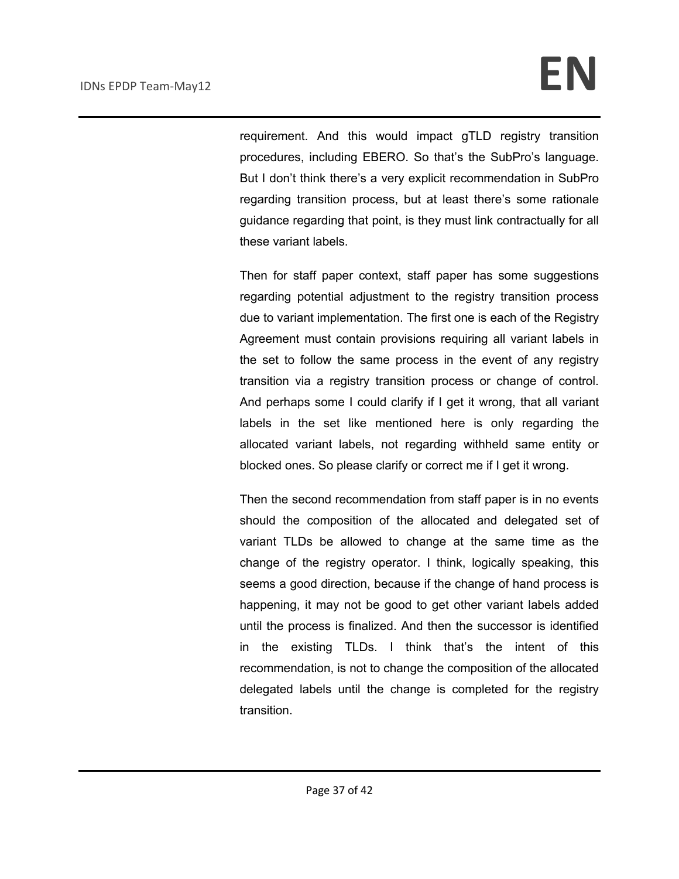requirement. And this would impact gTLD registry transition procedures, including EBERO. So that's the SubPro's language. But I don't think there's a very explicit recommendation in SubPro regarding transition process, but at least there's some rationale guidance regarding that point, is they must link contractually for all these variant labels.

Then for staff paper context, staff paper has some suggestions regarding potential adjustment to the registry transition process due to variant implementation. The first one is each of the Registry Agreement must contain provisions requiring all variant labels in the set to follow the same process in the event of any registry transition via a registry transition process or change of control. And perhaps some I could clarify if I get it wrong, that all variant labels in the set like mentioned here is only regarding the allocated variant labels, not regarding withheld same entity or blocked ones. So please clarify or correct me if I get it wrong.

Then the second recommendation from staff paper is in no events should the composition of the allocated and delegated set of variant TLDs be allowed to change at the same time as the change of the registry operator. I think, logically speaking, this seems a good direction, because if the change of hand process is happening, it may not be good to get other variant labels added until the process is finalized. And then the successor is identified in the existing TLDs. I think that's the intent of this recommendation, is not to change the composition of the allocated delegated labels until the change is completed for the registry transition.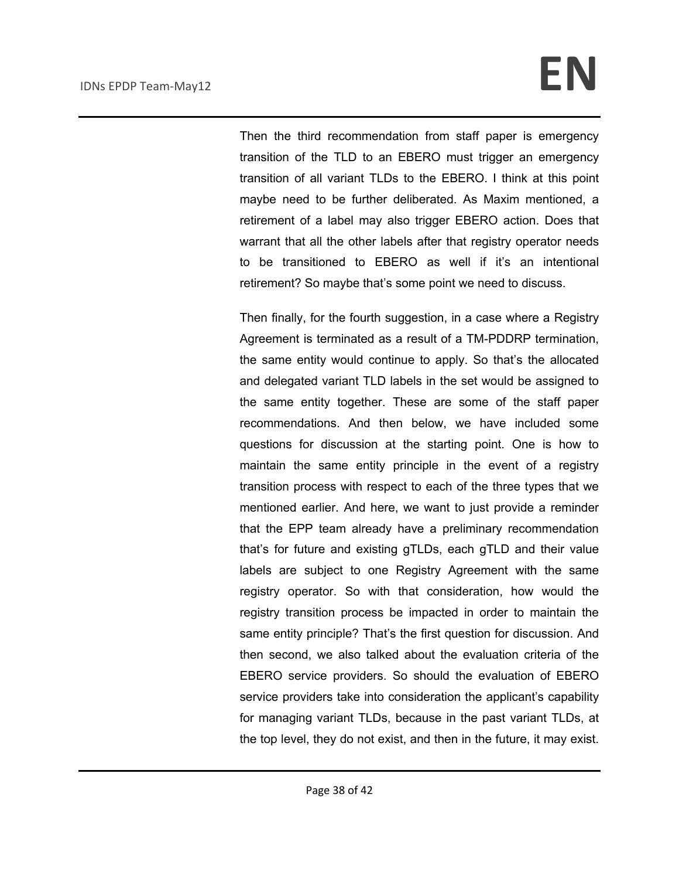Then the third recommendation from staff paper is emergency transition of the TLD to an EBERO must trigger an emergency transition of all variant TLDs to the EBERO. I think at this point maybe need to be further deliberated. As Maxim mentioned, a retirement of a label may also trigger EBERO action. Does that warrant that all the other labels after that registry operator needs to be transitioned to EBERO as well if it's an intentional retirement? So maybe that's some point we need to discuss.

Then finally, for the fourth suggestion, in a case where a Registry Agreement is terminated as a result of a TM-PDDRP termination, the same entity would continue to apply. So that's the allocated and delegated variant TLD labels in the set would be assigned to the same entity together. These are some of the staff paper recommendations. And then below, we have included some questions for discussion at the starting point. One is how to maintain the same entity principle in the event of a registry transition process with respect to each of the three types that we mentioned earlier. And here, we want to just provide a reminder that the EPP team already have a preliminary recommendation that's for future and existing gTLDs, each gTLD and their value labels are subject to one Registry Agreement with the same registry operator. So with that consideration, how would the registry transition process be impacted in order to maintain the same entity principle? That's the first question for discussion. And then second, we also talked about the evaluation criteria of the EBERO service providers. So should the evaluation of EBERO service providers take into consideration the applicant's capability for managing variant TLDs, because in the past variant TLDs, at the top level, they do not exist, and then in the future, it may exist.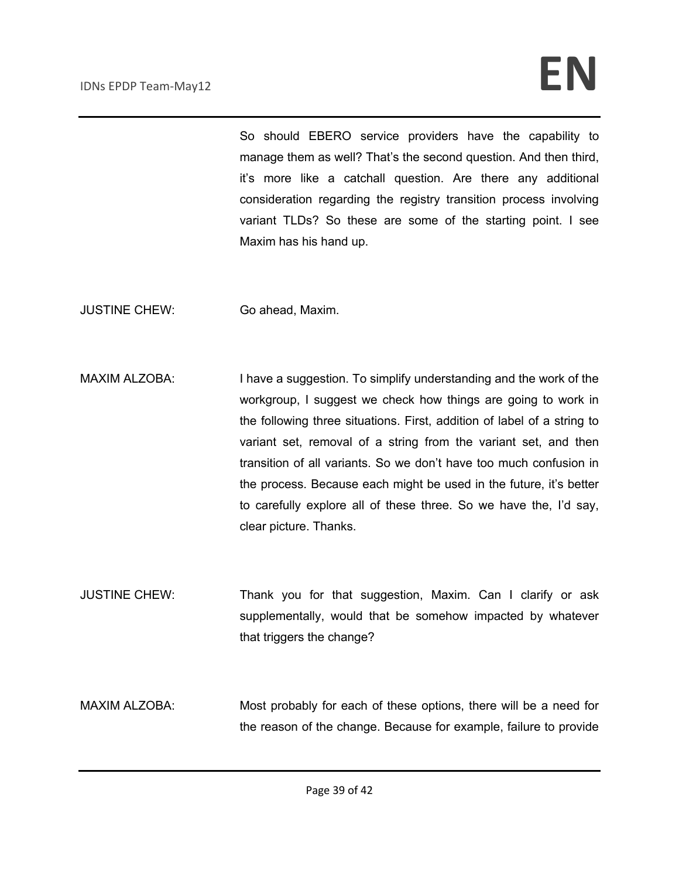So should EBERO service providers have the capability to manage them as well? That's the second question. And then third, it's more like a catchall question. Are there any additional consideration regarding the registry transition process involving variant TLDs? So these are some of the starting point. I see Maxim has his hand up.

JUSTINE CHEW: Go ahead, Maxim.

- MAXIM ALZOBA: I have a suggestion. To simplify understanding and the work of the workgroup, I suggest we check how things are going to work in the following three situations. First, addition of label of a string to variant set, removal of a string from the variant set, and then transition of all variants. So we don't have too much confusion in the process. Because each might be used in the future, it's better to carefully explore all of these three. So we have the, I'd say, clear picture. Thanks.
- JUSTINE CHEW: Thank you for that suggestion, Maxim. Can I clarify or ask supplementally, would that be somehow impacted by whatever that triggers the change?
- MAXIM ALZOBA: Most probably for each of these options, there will be a need for the reason of the change. Because for example, failure to provide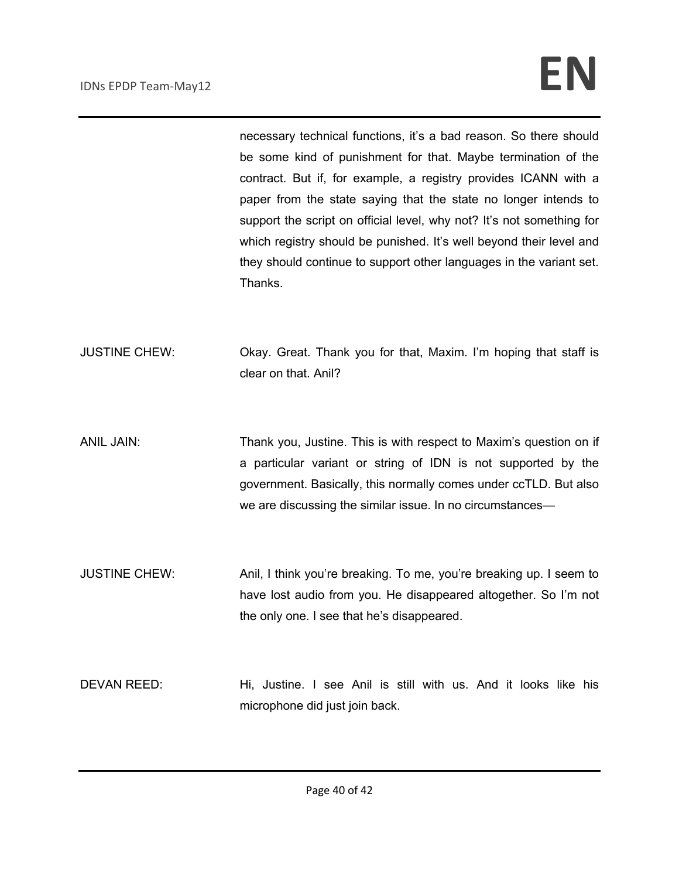necessary technical functions, it's a bad reason. So there should be some kind of punishment for that. Maybe termination of the contract. But if, for example, a registry provides ICANN with a paper from the state saying that the state no longer intends to support the script on official level, why not? It's not something for which registry should be punished. It's well beyond their level and they should continue to support other languages in the variant set. Thanks.

- JUSTINE CHEW: Okay. Great. Thank you for that, Maxim. I'm hoping that staff is clear on that. Anil?
- ANIL JAIN: Thank you, Justine. This is with respect to Maxim's question on if a particular variant or string of IDN is not supported by the government. Basically, this normally comes under ccTLD. But also we are discussing the similar issue. In no circumstances—
- JUSTINE CHEW: Anil, I think you're breaking. To me, you're breaking up. I seem to have lost audio from you. He disappeared altogether. So I'm not the only one. I see that he's disappeared.
- DEVAN REED: Hi, Justine. I see Anil is still with us. And it looks like his microphone did just join back.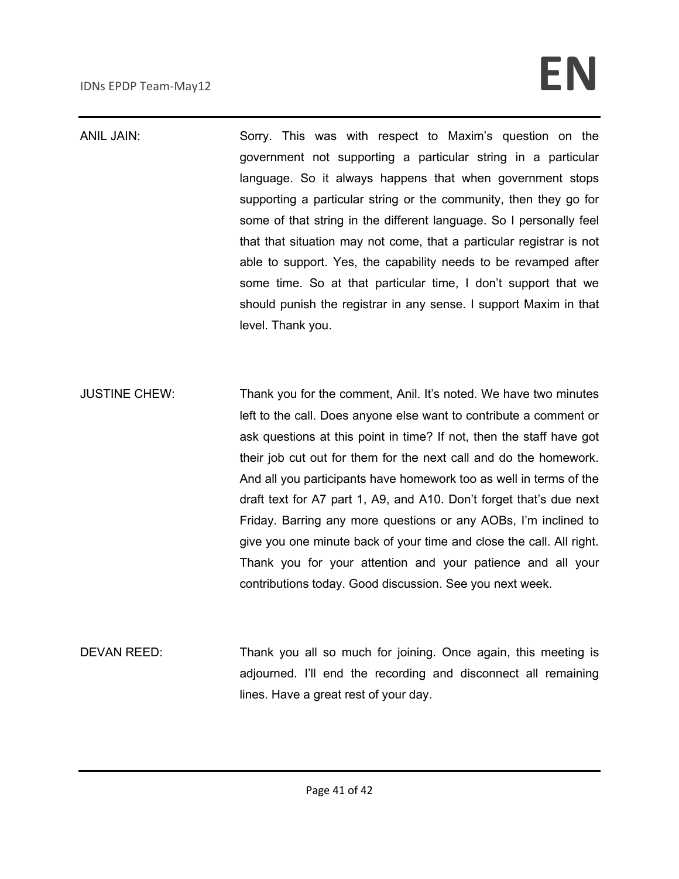ANIL JAIN: Sorry. This was with respect to Maxim's question on the government not supporting a particular string in a particular language. So it always happens that when government stops supporting a particular string or the community, then they go for some of that string in the different language. So I personally feel that that situation may not come, that a particular registrar is not able to support. Yes, the capability needs to be revamped after some time. So at that particular time, I don't support that we should punish the registrar in any sense. I support Maxim in that level. Thank you.

JUSTINE CHEW: Thank you for the comment, Anil. It's noted. We have two minutes left to the call. Does anyone else want to contribute a comment or ask questions at this point in time? If not, then the staff have got their job cut out for them for the next call and do the homework. And all you participants have homework too as well in terms of the draft text for A7 part 1, A9, and A10. Don't forget that's due next Friday. Barring any more questions or any AOBs, I'm inclined to give you one minute back of your time and close the call. All right. Thank you for your attention and your patience and all your contributions today. Good discussion. See you next week.

DEVAN REED: Thank you all so much for joining. Once again, this meeting is adjourned. I'll end the recording and disconnect all remaining lines. Have a great rest of your day.